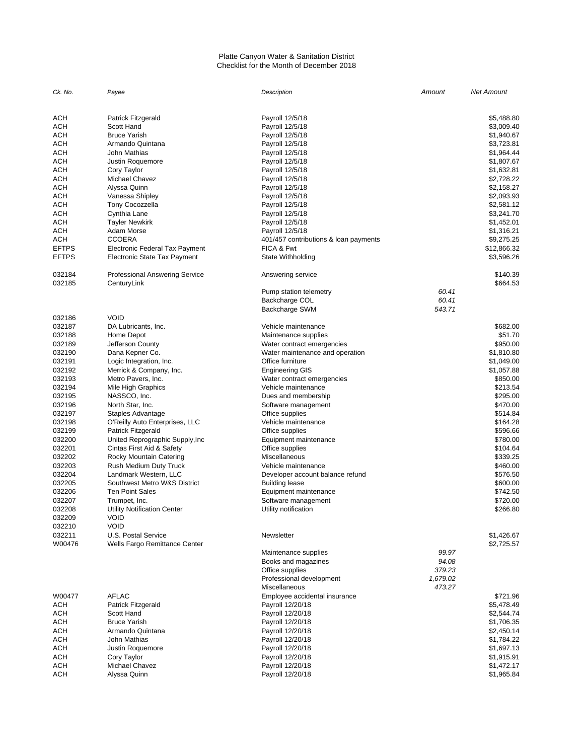#### Platte Canyon Water & Sanitation District Checklist for the Month of December 2018

| Ck. No.          | Payee                                                | Description                           | Amount   | <b>Net Amount</b>        |
|------------------|------------------------------------------------------|---------------------------------------|----------|--------------------------|
| ACH              | Patrick Fitzgerald                                   | Payroll 12/5/18                       |          | \$5,488.80               |
|                  |                                                      |                                       |          |                          |
| ACH              | Scott Hand                                           | Payroll 12/5/18                       |          | \$3,009.40               |
| ACH              | <b>Bruce Yarish</b>                                  | Payroll 12/5/18                       |          | \$1,940.67               |
| ACH              | Armando Quintana                                     | Payroll 12/5/18                       |          | \$3,723.81               |
| ACH              | John Mathias                                         | Payroll 12/5/18                       |          | \$1,964.44               |
| ACH              | Justin Roquemore                                     | Payroll 12/5/18                       |          | \$1,807.67               |
| ACH              | Cory Taylor                                          | Payroll 12/5/18                       |          | \$1,632.81               |
| ACH              | Michael Chavez                                       | Payroll 12/5/18                       |          | \$2,728.22               |
| ACH              | Alyssa Quinn                                         | Payroll 12/5/18                       |          | \$2,158.27               |
| ACH              | Vanessa Shipley                                      | Payroll 12/5/18                       |          | \$2,093.93               |
| ACH              | <b>Tony Cocozzella</b>                               | Payroll 12/5/18                       |          | \$2,581.12               |
| ACH              | Cynthia Lane                                         | Payroll 12/5/18                       |          | \$3,241.70               |
| ACH              | <b>Tayler Newkirk</b>                                | Payroll 12/5/18                       |          | \$1,452.01               |
| ACH              | Adam Morse                                           |                                       |          | \$1,316.21               |
|                  |                                                      | Payroll 12/5/18                       |          |                          |
| ACH              | <b>CCOERA</b>                                        | 401/457 contributions & loan payments |          | \$9,275.25               |
| <b>EFTPS</b>     | Electronic Federal Tax Payment                       | FICA & Fwt                            |          | \$12,866.32              |
| <b>EFTPS</b>     | <b>Electronic State Tax Payment</b>                  | State Withholding                     |          | \$3,596.26               |
| 032184<br>032185 | <b>Professional Answering Service</b><br>CenturyLink | Answering service                     |          | \$140.39<br>\$664.53     |
|                  |                                                      | Pump station telemetry                | 60.41    |                          |
|                  |                                                      | Backcharge COL                        | 60.41    |                          |
|                  |                                                      | <b>Backcharge SWM</b>                 | 543.71   |                          |
| 032186           | <b>VOID</b>                                          |                                       |          |                          |
| 032187           | DA Lubricants, Inc.                                  | Vehicle maintenance                   |          | \$682.00                 |
| 032188           | Home Depot                                           | Maintenance supplies                  |          | \$51.70                  |
| 032189           | Jefferson County                                     | Water contract emergencies            |          | \$950.00                 |
| 032190           | Dana Kepner Co.                                      | Water maintenance and operation       |          | \$1,810.80               |
| 032191           | Logic Integration, Inc.                              | Office furniture                      |          | \$1,049.00               |
| 032192           |                                                      |                                       |          |                          |
|                  | Merrick & Company, Inc.                              | Engineering GIS                       |          | \$1,057.88               |
| 032193           | Metro Pavers, Inc.                                   | Water contract emergencies            |          | \$850.00                 |
| 032194           | Mile High Graphics                                   | Vehicle maintenance                   |          | \$213.54                 |
| 032195           | NASSCO, Inc.                                         | Dues and membership                   |          | \$295.00                 |
| 032196           | North Star, Inc.                                     | Software management                   |          | \$470.00                 |
| 032197           | Staples Advantage                                    | Office supplies                       |          | \$514.84                 |
| 032198           | O'Reilly Auto Enterprises, LLC                       | Vehicle maintenance                   |          | \$164.28                 |
| 032199           | Patrick Fitzgerald                                   | Office supplies                       |          | \$596.66                 |
| 032200           | United Reprographic Supply, Inc                      | Equipment maintenance                 |          | \$780.00                 |
| 032201           | Cintas First Aid & Safety                            | Office supplies                       |          | \$104.64                 |
| 032202           | Rocky Mountain Catering                              | Miscellaneous                         |          | \$339.25                 |
| 032203           | Rush Medium Duty Truck                               | Vehicle maintenance                   |          | \$460.00                 |
| 032204           | Landmark Western, LLC                                | Developer account balance refund      |          | \$576.50                 |
| 032205           | Southwest Metro W&S District                         | <b>Building lease</b>                 |          | \$600.00                 |
| 032206           | <b>Ten Point Sales</b>                               |                                       |          | \$742.50                 |
| 032207           |                                                      | Equipment maintenance                 |          | \$720.00                 |
|                  | Trumpet, Inc.                                        | Software management                   |          |                          |
| 032208           | Utility Notification Center                          | Utility notification                  |          | \$266.80                 |
| 032209           | <b>VOID</b>                                          |                                       |          |                          |
| 032210           | <b>VOID</b>                                          |                                       |          |                          |
| 032211<br>W00476 | U.S. Postal Service<br>Wells Fargo Remittance Center | Newsletter                            |          | \$1,426.67<br>\$2,725.57 |
|                  |                                                      | Maintenance supplies                  | 99.97    |                          |
|                  |                                                      | Books and magazines                   | 94.08    |                          |
|                  |                                                      | Office supplies                       | 379.23   |                          |
|                  |                                                      | Professional development              | 1,679.02 |                          |
|                  |                                                      |                                       |          |                          |
| W00477           | <b>AFLAC</b>                                         | Miscellaneous                         | 473.27   |                          |
|                  |                                                      | Employee accidental insurance         |          | \$721.96                 |
| ACH              | Patrick Fitzgerald                                   | Payroll 12/20/18                      |          | \$5,478.49               |
| ACH              | Scott Hand                                           | Payroll 12/20/18                      |          | \$2,544.74               |
| ACH              | <b>Bruce Yarish</b>                                  | Payroll 12/20/18                      |          | \$1,706.35               |
| <b>ACH</b>       | Armando Quintana                                     | Payroll 12/20/18                      |          | \$2,450.14               |
| ACH              | John Mathias                                         | Payroll 12/20/18                      |          | \$1,784.22               |
| ACH              | Justin Roquemore                                     | Payroll 12/20/18                      |          | \$1,697.13               |
| ACH              | Cory Taylor                                          | Payroll 12/20/18                      |          | \$1,915.91               |
| ACH              | Michael Chavez                                       | Payroll 12/20/18                      |          | \$1,472.17               |
| ACH              | Alyssa Quinn                                         | Payroll 12/20/18                      |          | \$1,965.84               |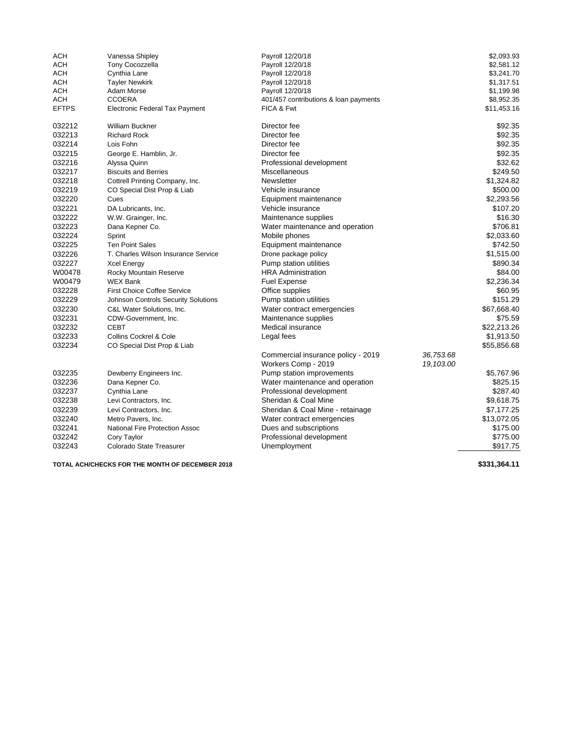| ACH          | Vanessa Shipley                       | Payroll 12/20/18                      |           | \$2,093.93  |
|--------------|---------------------------------------|---------------------------------------|-----------|-------------|
| <b>ACH</b>   | <b>Tony Cocozzella</b>                | Payroll 12/20/18                      |           | \$2,581.12  |
| ACH          | Cynthia Lane                          | Payroll 12/20/18                      |           | \$3,241.70  |
| <b>ACH</b>   | <b>Tayler Newkirk</b>                 | Payroll 12/20/18                      |           | \$1,317.51  |
| ACH          | Adam Morse                            | Payroll 12/20/18                      |           | \$1,199.98  |
| <b>ACH</b>   | <b>CCOERA</b>                         | 401/457 contributions & loan payments |           | \$8,952.35  |
| <b>EFTPS</b> | <b>Electronic Federal Tax Payment</b> | FICA & Fwt                            |           | \$11,453.16 |
| 032212       | <b>William Buckner</b>                | Director fee                          |           | \$92.35     |
| 032213       | <b>Richard Rock</b>                   | Director fee                          |           | \$92.35     |
| 032214       | Lois Fohn                             | Director fee                          |           | \$92.35     |
| 032215       | George E. Hamblin, Jr.                | Director fee                          |           | \$92.35     |
| 032216       | Alyssa Quinn                          | Professional development              |           | \$32.62     |
| 032217       | <b>Biscuits and Berries</b>           | <b>Miscellaneous</b>                  |           | \$249.50    |
| 032218       | Cottrell Printing Company, Inc.       | <b>Newsletter</b>                     |           | \$1,324.82  |
| 032219       | CO Special Dist Prop & Liab           | Vehicle insurance                     |           | \$500.00    |
| 032220       | Cues                                  | Equipment maintenance                 |           | \$2,293.56  |
| 032221       | DA Lubricants, Inc.                   | Vehicle insurance                     |           | \$107.20    |
| 032222       | W.W. Grainger, Inc.                   | Maintenance supplies                  |           | \$16.30     |
| 032223       | Dana Kepner Co.                       | Water maintenance and operation       |           | \$706.81    |
| 032224       | Sprint                                | Mobile phones                         |           | \$2,033.60  |
| 032225       | <b>Ten Point Sales</b>                | Equipment maintenance                 |           | \$742.50    |
| 032226       | T. Charles Wilson Insurance Service   | Drone package policy                  |           | \$1,515.00  |
| 032227       | <b>Xcel Energy</b>                    | Pump station utilities                |           | \$890.34    |
| W00478       | Rocky Mountain Reserve                | <b>HRA Administration</b>             |           | \$84.00     |
| W00479       | <b>WEX Bank</b>                       | <b>Fuel Expense</b>                   |           | \$2,236.34  |
| 032228       | <b>First Choice Coffee Service</b>    | Office supplies                       |           | \$60.95     |
| 032229       | Johnson Controls Security Solutions   | Pump station utilities                |           | \$151.29    |
| 032230       | C&L Water Solutions, Inc.             | Water contract emergencies            |           | \$67,668.40 |
| 032231       | CDW-Government, Inc.                  | Maintenance supplies                  |           | \$75.59     |
| 032232       | <b>CEBT</b>                           | Medical insurance                     |           | \$22,213.26 |
| 032233       | <b>Collins Cockrel &amp; Cole</b>     | Legal fees                            |           | \$1,913.50  |
| 032234       | CO Special Dist Prop & Liab           |                                       |           | \$55,856.68 |
|              |                                       | Commercial insurance policy - 2019    | 36,753.68 |             |
|              |                                       | Workers Comp - 2019                   | 19,103.00 |             |
| 032235       | Dewberry Engineers Inc.               | Pump station improvements             |           | \$5,767.96  |
| 032236       | Dana Kepner Co.                       | Water maintenance and operation       |           | \$825.15    |
| 032237       | Cynthia Lane                          | Professional development              |           | \$287.40    |
| 032238       | Levi Contractors, Inc.                | Sheridan & Coal Mine                  |           | \$9,618.75  |
| 032239       | Levi Contractors, Inc.                | Sheridan & Coal Mine - retainage      |           | \$7,177.25  |
| 032240       | Metro Pavers, Inc.                    | Water contract emergencies            |           | \$13,072.05 |
| 032241       | National Fire Protection Assoc        | Dues and subscriptions                |           | \$175.00    |
| 032242       | Cory Taylor                           | Professional development              |           | \$775.00    |
| 032243       | Colorado State Treasurer              | Unemployment                          |           | \$917.75    |
|              |                                       |                                       |           |             |

**TOTAL ACH/CHECKS FOR THE MONTH OF DECEMBER 2018 \$331,364.11**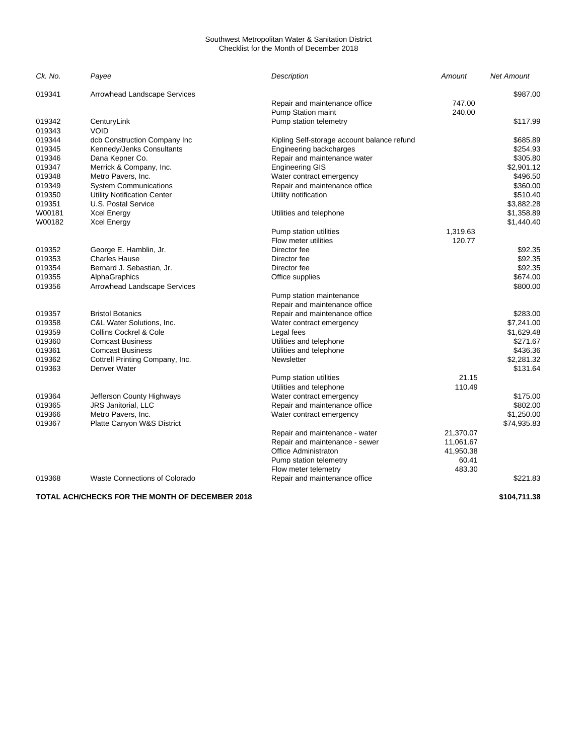#### Southwest Metropolitan Water & Sanitation District Checklist for the Month of December 2018

| Ck. No. | Payee                                | <b>Description</b>                          | Amount    | <b>Net Amount</b> |
|---------|--------------------------------------|---------------------------------------------|-----------|-------------------|
| 019341  | <b>Arrowhead Landscape Services</b>  |                                             |           | \$987.00          |
|         |                                      | Repair and maintenance office               | 747.00    |                   |
|         |                                      | Pump Station maint                          | 240.00    |                   |
| 019342  | CenturyLink                          | Pump station telemetry                      |           | \$117.99          |
| 019343  | VOID                                 |                                             |           |                   |
| 019344  | dcb Construction Company Inc         | Kipling Self-storage account balance refund |           | \$685.89          |
| 019345  | Kennedy/Jenks Consultants            | Engineering backcharges                     |           | \$254.93          |
| 019346  | Dana Kepner Co.                      | Repair and maintenance water                |           | \$305.80          |
| 019347  | Merrick & Company, Inc.              | <b>Engineering GIS</b>                      |           | \$2,901.12        |
| 019348  | Metro Pavers, Inc.                   | Water contract emergency                    |           | \$496.50          |
| 019349  | <b>System Communications</b>         | Repair and maintenance office               |           | \$360.00          |
| 019350  | <b>Utility Notification Center</b>   | Utility notification                        |           | \$510.40          |
| 019351  | U.S. Postal Service                  |                                             |           | \$3,882.28        |
| W00181  | <b>Xcel Energy</b>                   | Utilities and telephone                     |           | \$1,358.89        |
| W00182  | <b>Xcel Energy</b>                   |                                             |           | \$1,440.40        |
|         |                                      | Pump station utilities                      | 1,319.63  |                   |
|         |                                      | Flow meter utilities                        | 120.77    |                   |
| 019352  | George E. Hamblin, Jr.               | Director fee                                |           | \$92.35           |
| 019353  | <b>Charles Hause</b>                 | Director fee                                |           | \$92.35           |
| 019354  | Bernard J. Sebastian, Jr.            | Director fee                                |           | \$92.35           |
| 019355  | AlphaGraphics                        | Office supplies                             |           | \$674.00          |
| 019356  | Arrowhead Landscape Services         |                                             |           | \$800.00          |
|         |                                      | Pump station maintenance                    |           |                   |
|         |                                      | Repair and maintenance office               |           |                   |
| 019357  | <b>Bristol Botanics</b>              | Repair and maintenance office               |           | \$283.00          |
| 019358  | C&L Water Solutions, Inc.            | Water contract emergency                    |           | \$7,241.00        |
| 019359  | <b>Collins Cockrel &amp; Cole</b>    | Legal fees                                  |           | \$1,629.48        |
| 019360  | <b>Comcast Business</b>              | Utilities and telephone                     |           | \$271.67          |
| 019361  | <b>Comcast Business</b>              | Utilities and telephone                     |           | \$436.36          |
| 019362  | Cottrell Printing Company, Inc.      | Newsletter                                  |           | \$2,281.32        |
| 019363  | Denver Water                         |                                             |           | \$131.64          |
|         |                                      | Pump station utilities                      | 21.15     |                   |
|         |                                      | Utilities and telephone                     | 110.49    |                   |
| 019364  | Jefferson County Highways            | Water contract emergency                    |           | \$175.00          |
| 019365  | <b>JRS Janitorial, LLC</b>           | Repair and maintenance office               |           | \$802.00          |
| 019366  | Metro Pavers, Inc.                   | Water contract emergency                    |           | \$1,250.00        |
| 019367  | Platte Canyon W&S District           |                                             |           | \$74,935.83       |
|         |                                      | Repair and maintenance - water              | 21,370.07 |                   |
|         |                                      | Repair and maintenance - sewer              | 11,061.67 |                   |
|         |                                      | Office Administraton                        | 41,950.38 |                   |
|         |                                      | Pump station telemetry                      | 60.41     |                   |
|         |                                      | Flow meter telemetry                        | 483.30    |                   |
| 019368  | <b>Waste Connections of Colorado</b> | Repair and maintenance office               |           | \$221.83          |
|         |                                      |                                             |           |                   |

**TOTAL ACH/CHECKS FOR THE MONTH OF DECEMBER 2018 \$104,711.38**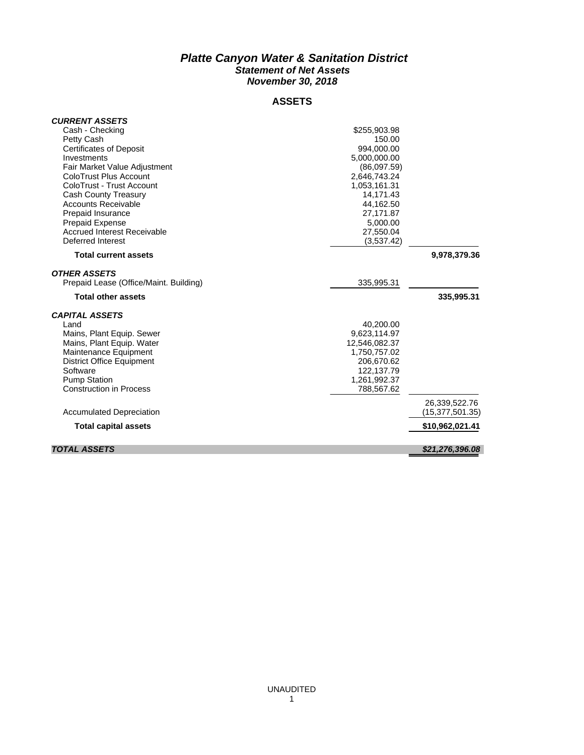### *Platte Canyon Water & Sanitation District Statement of Net Assets November 30, 2018*

### **ASSETS**

| <b>CURRENT ASSETS</b>                                     |                        |                   |
|-----------------------------------------------------------|------------------------|-------------------|
| Cash - Checking                                           | \$255,903.98           |                   |
| Petty Cash                                                | 150.00                 |                   |
| <b>Certificates of Deposit</b>                            | 994.000.00             |                   |
| Investments                                               | 5,000,000.00           |                   |
| Fair Market Value Adjustment                              | (86,097.59)            |                   |
| ColoTrust Plus Account<br>ColoTrust - Trust Account       | 2,646,743.24           |                   |
|                                                           | 1,053,161.31           |                   |
| <b>Cash County Treasury</b><br><b>Accounts Receivable</b> | 14,171.43<br>44,162.50 |                   |
| Prepaid Insurance                                         | 27,171.87              |                   |
| <b>Prepaid Expense</b>                                    | 5,000.00               |                   |
| <b>Accrued Interest Receivable</b>                        | 27,550.04              |                   |
| Deferred Interest                                         | (3,537.42)             |                   |
|                                                           |                        |                   |
| <b>Total current assets</b>                               |                        | 9,978,379.36      |
| OTHER ASSETS                                              |                        |                   |
| Prepaid Lease (Office/Maint. Building)                    | 335,995.31             |                   |
| <b>Total other assets</b>                                 |                        | 335,995.31        |
| <b>CAPITAL ASSETS</b>                                     |                        |                   |
| Land                                                      | 40,200.00              |                   |
| Mains, Plant Equip. Sewer                                 | 9,623,114.97           |                   |
| Mains, Plant Equip. Water                                 | 12,546,082.37          |                   |
| Maintenance Equipment                                     | 1,750,757.02           |                   |
| <b>District Office Equipment</b>                          | 206,670.62             |                   |
| Software                                                  | 122,137.79             |                   |
| <b>Pump Station</b>                                       | 1,261,992.37           |                   |
| <b>Construction in Process</b>                            | 788,567.62             |                   |
|                                                           |                        | 26,339,522.76     |
| <b>Accumulated Depreciation</b>                           |                        | (15, 377, 501.35) |
| <b>Total capital assets</b>                               |                        | \$10,962,021.41   |
| <b>TOTAL ASSETS</b>                                       |                        |                   |
|                                                           |                        | \$21,276,396.08   |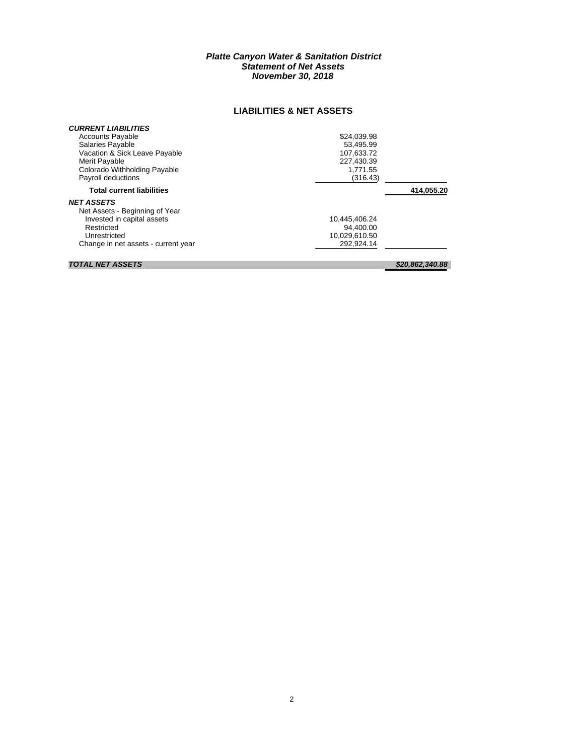### *Platte Canyon Water & Sanitation District Statement of Net Assets November 30, 2018*

### **LIABILITIES & NET ASSETS**

| <b>CURRENT LIABILITIES</b><br><b>Accounts Payable</b><br><b>Salaries Payable</b><br>Vacation & Sick Leave Payable<br>Merit Payable<br>Colorado Withholding Payable | \$24,039.98<br>53.495.99<br>107.633.72<br>227.430.39<br>1.771.55 |            |
|--------------------------------------------------------------------------------------------------------------------------------------------------------------------|------------------------------------------------------------------|------------|
| Payroll deductions                                                                                                                                                 | (316.43)                                                         |            |
| <b>Total current liabilities</b>                                                                                                                                   |                                                                  | 414,055.20 |
| <b>NET ASSETS</b><br>Net Assets - Beginning of Year<br>Invested in capital assets<br>Restricted<br>Unrestricted<br>Change in net assets - current year             | 10.445.406.24<br>94.400.00<br>10,029,610.50<br>292.924.14        |            |

### *TOTAL NET ASSETS \$20,862,340.88*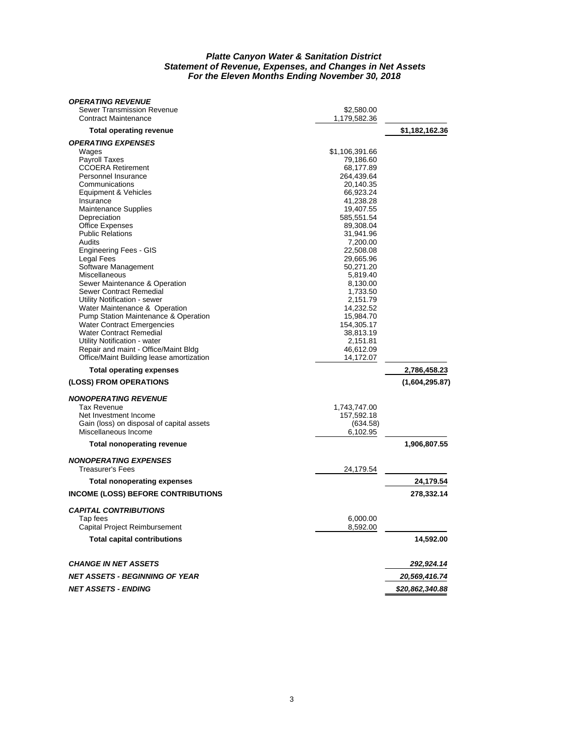#### *Platte Canyon Water & Sanitation District Statement of Revenue, Expenses, and Changes in Net Assets For the Eleven Months Ending November 30, 2018*

| <b>OPERATING REVENUE</b>                  |                |                 |
|-------------------------------------------|----------------|-----------------|
| Sewer Transmission Revenue                | \$2,580.00     |                 |
| <b>Contract Maintenance</b>               | 1,179,582.36   |                 |
| <b>Total operating revenue</b>            |                | \$1,182,162.36  |
| <b>OPERATING EXPENSES</b>                 |                |                 |
| Wages                                     | \$1,106,391.66 |                 |
| <b>Payroll Taxes</b>                      | 79,186.60      |                 |
| <b>CCOERA Retirement</b>                  | 68,177.89      |                 |
| Personnel Insurance                       | 264,439.64     |                 |
| Communications                            | 20,140.35      |                 |
| Equipment & Vehicles                      | 66,923.24      |                 |
| Insurance                                 | 41,238.28      |                 |
| <b>Maintenance Supplies</b>               | 19,407.55      |                 |
| Depreciation                              | 585,551.54     |                 |
| <b>Office Expenses</b>                    | 89,308.04      |                 |
| <b>Public Relations</b>                   | 31,941.96      |                 |
| Audits                                    | 7,200.00       |                 |
| <b>Engineering Fees - GIS</b>             | 22,508.08      |                 |
| Legal Fees                                | 29,665.96      |                 |
| Software Management                       | 50,271.20      |                 |
| Miscellaneous                             | 5,819.40       |                 |
| Sewer Maintenance & Operation             | 8,130.00       |                 |
| Sewer Contract Remedial                   | 1,733.50       |                 |
| Utility Notification - sewer              | 2,151.79       |                 |
| Water Maintenance & Operation             | 14,232.52      |                 |
| Pump Station Maintenance & Operation      | 15,984.70      |                 |
| <b>Water Contract Emergencies</b>         | 154,305.17     |                 |
| <b>Water Contract Remedial</b>            | 38.813.19      |                 |
| Utility Notification - water              | 2,151.81       |                 |
| Repair and maint - Office/Maint Bldg      | 46,612.09      |                 |
| Office/Maint Building lease amortization  | 14,172.07      |                 |
| <b>Total operating expenses</b>           |                | 2,786,458.23    |
| (LOSS) FROM OPERATIONS                    |                | (1,604,295.87)  |
|                                           |                |                 |
| <b>NONOPERATING REVENUE</b>               |                |                 |
| <b>Tax Revenue</b>                        | 1,743,747.00   |                 |
| Net Investment Income                     | 157,592.18     |                 |
| Gain (loss) on disposal of capital assets | (634.58)       |                 |
| Miscellaneous Income                      | 6,102.95       |                 |
| <b>Total nonoperating revenue</b>         |                | 1,906,807.55    |
| <b>NONOPERATING EXPENSES</b>              |                |                 |
| <b>Treasurer's Fees</b>                   | 24,179.54      |                 |
| <b>Total nonoperating expenses</b>        |                | 24,179.54       |
| <b>INCOME (LOSS) BEFORE CONTRIBUTIONS</b> |                | 278,332.14      |
|                                           |                |                 |
| <b>CAPITAL CONTRIBUTIONS</b>              |                |                 |
| Tap fees                                  | 6,000.00       |                 |
| Capital Project Reimbursement             | 8,592.00       |                 |
| <b>Total capital contributions</b>        |                | 14,592.00       |
| <b>CHANGE IN NET ASSETS</b>               |                | 292,924.14      |
| <b>NET ASSETS - BEGINNING OF YEAR</b>     |                | 20,569,416.74   |
| <b>NET ASSETS - ENDING</b>                |                | \$20,862,340.88 |
|                                           |                |                 |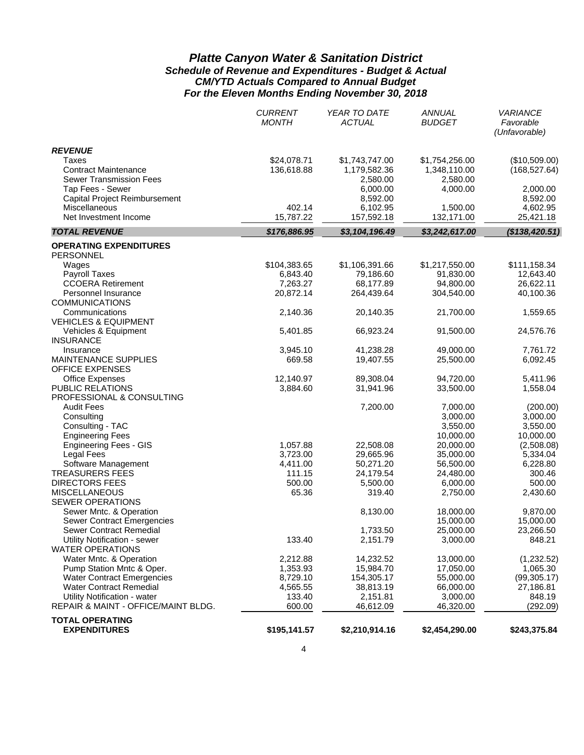### *Platte Canyon Water & Sanitation District Schedule of Revenue and Expenditures - Budget & Actual CM/YTD Actuals Compared to Annual Budget For the Eleven Months Ending November 30, 2018*

|                                                          | <b>CURRENT</b><br><b>MONTH</b> | YEAR TO DATE<br><b>ACTUAL</b>  | ANNUAL<br><b>BUDGET</b>        | <b>VARIANCE</b><br>Favorable<br>(Unfavorable) |
|----------------------------------------------------------|--------------------------------|--------------------------------|--------------------------------|-----------------------------------------------|
| <b>REVENUE</b>                                           |                                |                                |                                |                                               |
| Taxes<br><b>Contract Maintenance</b>                     | \$24,078.71<br>136,618.88      | \$1,743,747.00<br>1,179,582.36 | \$1,754,256.00<br>1,348,110.00 | (\$10,509.00)<br>(168, 527.64)                |
| <b>Sewer Transmission Fees</b>                           |                                | 2,580.00                       | 2,580.00                       |                                               |
| Tap Fees - Sewer                                         |                                | 6,000.00                       | 4,000.00                       | 2,000.00                                      |
| Capital Project Reimbursement                            |                                | 8,592.00                       |                                | 8,592.00                                      |
| Miscellaneous<br>Net Investment Income                   | 402.14<br>15,787.22            | 6,102.95<br>157,592.18         | 1,500.00<br>132,171.00         | 4,602.95<br>25,421.18                         |
| <b>TOTAL REVENUE</b>                                     | \$176,886.95                   | \$3,104,196.49                 | \$3,242,617.00                 | (\$138,420.51)                                |
|                                                          |                                |                                |                                |                                               |
| <b>OPERATING EXPENDITURES</b>                            |                                |                                |                                |                                               |
| PERSONNEL<br>Wages                                       | \$104,383.65                   | \$1,106,391.66                 | \$1,217,550.00                 | \$111,158.34                                  |
| <b>Payroll Taxes</b>                                     | 6,843.40                       | 79,186.60                      | 91,830.00                      | 12,643.40                                     |
| <b>CCOERA Retirement</b>                                 | 7,263.27                       | 68,177.89                      | 94,800.00                      | 26,622.11                                     |
| Personnel Insurance                                      | 20,872.14                      | 264,439.64                     | 304,540.00                     | 40,100.36                                     |
| <b>COMMUNICATIONS</b>                                    |                                |                                |                                |                                               |
| Communications<br><b>VEHICLES &amp; EQUIPMENT</b>        | 2,140.36                       | 20,140.35                      | 21,700.00                      | 1,559.65                                      |
| Vehicles & Equipment<br><b>INSURANCE</b>                 | 5,401.85                       | 66,923.24                      | 91,500.00                      | 24,576.76                                     |
| Insurance                                                | 3,945.10                       | 41,238.28                      | 49,000.00                      | 7,761.72                                      |
| <b>MAINTENANCE SUPPLIES</b><br><b>OFFICE EXPENSES</b>    | 669.58                         | 19,407.55                      | 25,500.00                      | 6,092.45                                      |
| <b>Office Expenses</b>                                   | 12,140.97                      | 89,308.04                      | 94,720.00                      | 5,411.96                                      |
| PUBLIC RELATIONS                                         | 3,884.60                       | 31,941.96                      | 33,500.00                      | 1,558.04                                      |
| PROFESSIONAL & CONSULTING                                |                                |                                |                                |                                               |
| <b>Audit Fees</b>                                        |                                | 7,200.00                       | 7,000.00                       | (200.00)                                      |
| Consulting                                               |                                |                                | 3,000.00                       | 3,000.00                                      |
| Consulting - TAC                                         |                                |                                | 3,550.00                       | 3,550.00                                      |
| <b>Engineering Fees</b><br><b>Engineering Fees - GIS</b> | 1,057.88                       | 22,508.08                      | 10,000.00<br>20,000.00         | 10,000.00<br>(2,508.08)                       |
| <b>Legal Fees</b>                                        | 3,723.00                       | 29,665.96                      | 35,000.00                      | 5,334.04                                      |
| Software Management                                      | 4,411.00                       | 50,271.20                      | 56,500.00                      | 6,228.80                                      |
| <b>TREASURERS FEES</b>                                   | 111.15                         | 24,179.54                      | 24,480.00                      | 300.46                                        |
| <b>DIRECTORS FEES</b>                                    | 500.00                         | 5,500.00                       | 6,000.00                       | 500.00                                        |
| <b>MISCELLANEOUS</b>                                     | 65.36                          | 319.40                         | 2,750.00                       | 2,430.60                                      |
| <b>SEWER OPERATIONS</b>                                  |                                |                                |                                |                                               |
| Sewer Mntc. & Operation                                  |                                | 8,130.00                       | 18,000.00                      | 9,870.00                                      |
| <b>Sewer Contract Emergencies</b>                        |                                |                                | 15,000.00                      | 15,000.00                                     |
| Sewer Contract Remedial                                  |                                | 1,733.50                       | 25,000.00                      | 23,266.50                                     |
| Utility Notification - sewer<br><b>WATER OPERATIONS</b>  | 133.40                         | 2,151.79                       | 3,000.00                       | 848.21                                        |
| Water Mntc. & Operation                                  | 2,212.88                       | 14,232.52                      | 13,000.00                      | (1,232.52)                                    |
| Pump Station Mntc & Oper.                                | 1,353.93                       | 15,984.70                      | 17,050.00                      | 1,065.30                                      |
| <b>Water Contract Emergencies</b>                        | 8,729.10                       | 154,305.17                     | 55,000.00                      | (99, 305.17)                                  |
| <b>Water Contract Remedial</b>                           | 4,565.55                       | 38,813.19                      | 66,000.00                      | 27,186.81                                     |
| Utility Notification - water                             | 133.40                         | 2,151.81                       | 3,000.00                       | 848.19                                        |
| REPAIR & MAINT - OFFICE/MAINT BLDG.                      | 600.00                         | 46,612.09                      | 46,320.00                      | (292.09)                                      |
| <b>TOTAL OPERATING</b>                                   |                                |                                |                                |                                               |
| <b>EXPENDITURES</b>                                      | \$195,141.57                   | \$2,210,914.16                 | \$2,454,290.00                 | \$243,375.84                                  |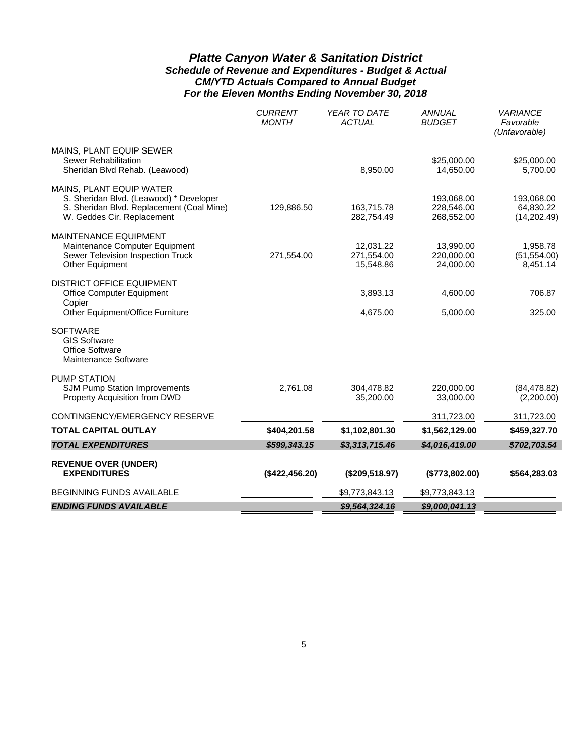### *Platte Canyon Water & Sanitation District Schedule of Revenue and Expenditures - Budget & Actual CM/YTD Actuals Compared to Annual Budget For the Eleven Months Ending November 30, 2018*

|                                                                                                                                                | YEAR TO DATE<br><b>CURRENT</b><br><b>ANNUAL</b><br><b>MONTH</b><br><b>ACTUAL</b><br><b>BUDGET</b><br>\$25,000.00<br>8,950.00<br>14,650.00<br>193,068.00<br>228,546.00<br>129,886.50<br>163,715.78<br>282,754.49<br>268,552.00 |                                      | <b>VARIANCE</b><br>Favorable<br>(Unfavorable) |                                         |
|------------------------------------------------------------------------------------------------------------------------------------------------|-------------------------------------------------------------------------------------------------------------------------------------------------------------------------------------------------------------------------------|--------------------------------------|-----------------------------------------------|-----------------------------------------|
| MAINS, PLANT EQUIP SEWER<br>Sewer Rehabilitation<br>Sheridan Blvd Rehab. (Leawood)                                                             |                                                                                                                                                                                                                               |                                      |                                               | \$25,000.00<br>5,700.00                 |
| MAINS, PLANT EQUIP WATER<br>S. Sheridan Blvd. (Leawood) * Developer<br>S. Sheridan Blvd. Replacement (Coal Mine)<br>W. Geddes Cir. Replacement |                                                                                                                                                                                                                               |                                      |                                               | 193,068.00<br>64,830.22<br>(14, 202.49) |
| <b>MAINTENANCE EQUIPMENT</b><br>Maintenance Computer Equipment<br>Sewer Television Inspection Truck<br>Other Equipment                         | 271,554.00                                                                                                                                                                                                                    | 12,031.22<br>271,554.00<br>15,548.86 | 13,990.00<br>220,000.00<br>24,000.00          | 1,958.78<br>(51, 554.00)<br>8,451.14    |
| <b>DISTRICT OFFICE EQUIPMENT</b><br><b>Office Computer Equipment</b><br>Copier<br>Other Equipment/Office Furniture                             |                                                                                                                                                                                                                               | 3,893.13<br>4,675.00                 | 4,600.00<br>5,000.00                          | 706.87<br>325.00                        |
| <b>SOFTWARE</b><br><b>GIS Software</b><br><b>Office Software</b><br>Maintenance Software                                                       |                                                                                                                                                                                                                               |                                      |                                               |                                         |
| <b>PUMP STATION</b><br>SJM Pump Station Improvements<br>Property Acquisition from DWD                                                          | 2,761.08                                                                                                                                                                                                                      | 304,478.82<br>35,200.00              | 220,000.00<br>33,000.00                       | (84, 478.82)<br>(2,200.00)              |
| CONTINGENCY/EMERGENCY RESERVE                                                                                                                  |                                                                                                                                                                                                                               |                                      | 311,723.00                                    | 311,723.00                              |
| <b>TOTAL CAPITAL OUTLAY</b>                                                                                                                    | \$404,201.58                                                                                                                                                                                                                  | \$1,102,801.30                       | \$1,562,129.00                                | \$459,327.70                            |
| <b>TOTAL EXPENDITURES</b>                                                                                                                      | \$599,343.15                                                                                                                                                                                                                  | \$3,313,715.46                       | \$4,016,419.00                                | \$702,703.54                            |
| <b>REVENUE OVER (UNDER)</b><br><b>EXPENDITURES</b>                                                                                             | (\$422,456.20)                                                                                                                                                                                                                | (\$209,518.97)                       | (\$773,802.00)                                | \$564,283.03                            |
| <b>BEGINNING FUNDS AVAILABLE</b>                                                                                                               |                                                                                                                                                                                                                               | \$9,773,843.13                       | \$9,773,843.13                                |                                         |
| <b>ENDING FUNDS AVAILABLE</b>                                                                                                                  |                                                                                                                                                                                                                               | \$9,564,324.16                       | \$9,000,041.13                                |                                         |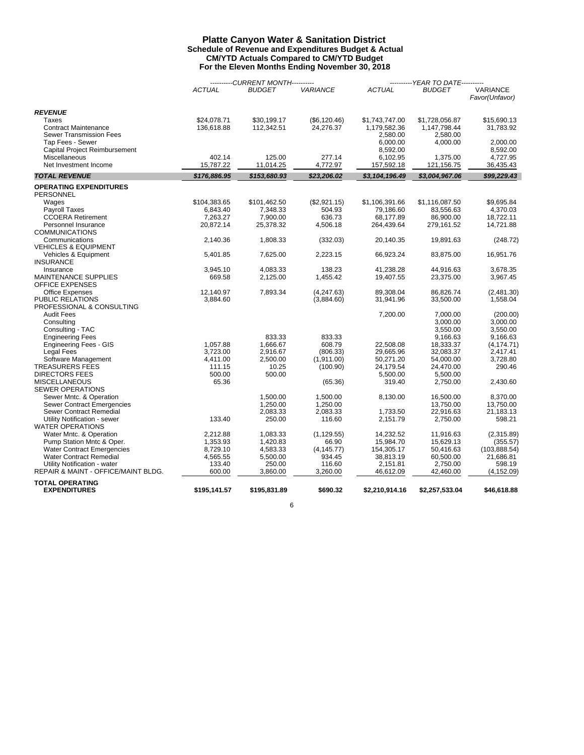#### **Platte Canyon Water & Sanitation District Schedule of Revenue and Expenditures Budget & Actual CM/YTD Actuals Compared to CM/YTD Budget For the Eleven Months Ending November 30, 2018**

|                                                    |               | ------CURRENT MONTH---------- |                 |                      | ----------YEAR TO DATE---------- |                      |
|----------------------------------------------------|---------------|-------------------------------|-----------------|----------------------|----------------------------------|----------------------|
|                                                    | <b>ACTUAL</b> | <b>BUDGET</b>                 | <b>VARIANCE</b> | <b>ACTUAL</b>        | <b>BUDGET</b>                    | <b>VARIANCE</b>      |
|                                                    |               |                               |                 |                      |                                  | Favor(Unfavor)       |
|                                                    |               |                               |                 |                      |                                  |                      |
| <b>REVENUE</b>                                     |               |                               |                 |                      |                                  |                      |
| <b>Taxes</b>                                       | \$24,078.71   | \$30,199.17                   | (\$6, 120.46)   | \$1,743,747.00       | \$1,728,056.87                   | \$15.690.13          |
| <b>Contract Maintenance</b>                        | 136,618.88    | 112,342.51                    | 24,276.37       | 1,179,582.36         | 1,147,798.44                     | 31,783.92            |
| <b>Sewer Transmission Fees</b><br>Tap Fees - Sewer |               |                               |                 | 2.580.00<br>6,000.00 | 2.580.00<br>4,000.00             | 2,000.00             |
| Capital Project Reimbursement                      |               |                               |                 | 8,592.00             |                                  | 8,592.00             |
| <b>Miscellaneous</b>                               | 402.14        | 125.00                        | 277.14          | 6,102.95             | 1,375.00                         | 4,727.95             |
| Net Investment Income                              | 15,787.22     | 11,014.25                     | 4,772.97        | 157,592.18           | 121,156.75                       | 36,435.43            |
|                                                    |               |                               |                 |                      |                                  |                      |
| <b>TOTAL REVENUE</b>                               | \$176,886.95  | \$153,680.93                  | \$23,206.02     | \$3,104,196.49       | \$3,004,967.06                   | \$99,229.43          |
| <b>OPERATING EXPENDITURES</b>                      |               |                               |                 |                      |                                  |                      |
| <b>PERSONNEL</b>                                   |               |                               |                 |                      |                                  |                      |
| Wages                                              | \$104,383.65  | \$101,462.50                  | (\$2,921.15)    | \$1,106,391.66       | \$1,116,087.50                   | \$9,695.84           |
| <b>Payroll Taxes</b>                               | 6,843.40      | 7,348.33                      | 504.93          | 79.186.60            | 83,556.63                        | 4,370.03             |
| <b>CCOERA Retirement</b>                           | 7,263.27      | 7,900.00                      | 636.73          | 68,177.89            | 86,900.00                        | 18,722.11            |
| Personnel Insurance                                | 20,872.14     | 25,378.32                     | 4,506.18        | 264,439.64           | 279,161.52                       | 14,721.88            |
| COMMUNICATIONS                                     |               |                               |                 |                      |                                  |                      |
| Communications                                     | 2,140.36      | 1,808.33                      | (332.03)        | 20,140.35            | 19,891.63                        | (248.72)             |
| <b>VEHICLES &amp; EQUIPMENT</b>                    |               |                               |                 |                      |                                  |                      |
| Vehicles & Equipment                               | 5,401.85      | 7,625.00                      | 2,223.15        | 66,923.24            | 83,875.00                        | 16,951.76            |
| <b>INSURANCE</b>                                   |               |                               |                 |                      |                                  |                      |
| Insurance                                          | 3.945.10      | 4.083.33                      | 138.23          | 41,238.28            | 44,916.63                        | 3,678.35             |
| <b>MAINTENANCE SUPPLIES</b>                        | 669.58        | 2,125.00                      | 1,455.42        | 19,407.55            | 23,375.00                        | 3,967.45             |
| <b>OFFICE EXPENSES</b>                             |               |                               |                 |                      |                                  |                      |
| <b>Office Expenses</b>                             | 12,140.97     | 7,893.34                      | (4, 247.63)     | 89,308.04            | 86,826.74                        | (2,481.30)           |
| PUBLIC RELATIONS                                   | 3,884.60      |                               | (3,884.60)      | 31,941.96            | 33,500.00                        | 1,558.04             |
| PROFESSIONAL & CONSULTING                          |               |                               |                 |                      |                                  |                      |
| <b>Audit Fees</b>                                  |               |                               |                 | 7,200.00             | 7,000.00                         | (200.00)             |
| Consulting                                         |               |                               |                 |                      | 3,000.00<br>3,550.00             | 3,000.00<br>3,550.00 |
| Consulting - TAC<br><b>Engineering Fees</b>        |               | 833.33                        | 833.33          |                      | 9,166.63                         | 9,166.63             |
| Engineering Fees - GIS                             | 1.057.88      | 1.666.67                      | 608.79          | 22.508.08            | 18,333.37                        | (4, 174.71)          |
| <b>Legal Fees</b>                                  | 3,723.00      | 2,916.67                      | (806.33)        | 29,665.96            | 32,083.37                        | 2,417.41             |
| Software Management                                | 4,411.00      | 2,500.00                      | (1,911.00)      | 50,271.20            | 54,000.00                        | 3,728.80             |
| TREASURERS FEES                                    | 111.15        | 10.25                         | (100.90)        | 24,179.54            | 24,470.00                        | 290.46               |
| <b>DIRECTORS FEES</b>                              | 500.00        | 500.00                        |                 | 5,500.00             | 5,500.00                         |                      |
| <b>MISCELLANEOUS</b>                               | 65.36         |                               | (65.36)         | 319.40               | 2,750.00                         | 2,430.60             |
| <b>SEWER OPERATIONS</b>                            |               |                               |                 |                      |                                  |                      |
| Sewer Mntc. & Operation                            |               | 1,500.00                      | 1,500.00        | 8,130.00             | 16,500.00                        | 8,370.00             |
| <b>Sewer Contract Emergencies</b>                  |               | 1,250.00                      | 1.250.00        |                      | 13.750.00                        | 13,750.00            |
| Sewer Contract Remedial                            |               | 2,083.33                      | 2,083.33        | 1,733.50             | 22,916.63                        | 21,183.13            |
| Utility Notification - sewer                       | 133.40        | 250.00                        | 116.60          | 2,151.79             | 2,750.00                         | 598.21               |
| <b>WATER OPERATIONS</b>                            |               |                               |                 |                      |                                  |                      |
| Water Mntc. & Operation                            | 2,212.88      | 1,083.33                      | (1, 129.55)     | 14,232.52            | 11,916.63                        | (2,315.89)           |
| Pump Station Mntc & Oper.                          | 1,353.93      | 1,420.83                      | 66.90           | 15,984.70            | 15,629.13                        | (355.57)             |
| <b>Water Contract Emergencies</b>                  | 8,729.10      | 4,583.33                      | (4, 145.77)     | 154,305.17           | 50,416.63                        | (103, 888.54)        |
| <b>Water Contract Remedial</b>                     | 4,565.55      | 5,500.00                      | 934.45          | 38,813.19            | 60,500.00                        | 21,686.81            |
| Utility Notification - water                       | 133.40        | 250.00                        | 116.60          | 2,151.81             | 2,750.00                         | 598.19               |
| REPAIR & MAINT - OFFICE/MAINT BLDG.                | 600.00        | 3,860.00                      | 3,260.00        | 46,612.09            | 42,460.00                        | (4, 152.09)          |
| <b>TOTAL OPERATING</b>                             |               |                               |                 |                      |                                  |                      |
| <b>EXPENDITURES</b>                                | \$195,141.57  | \$195,831.89                  | \$690.32        | \$2,210,914.16       | \$2,257,533.04                   | \$46,618.88          |
|                                                    |               |                               |                 |                      |                                  |                      |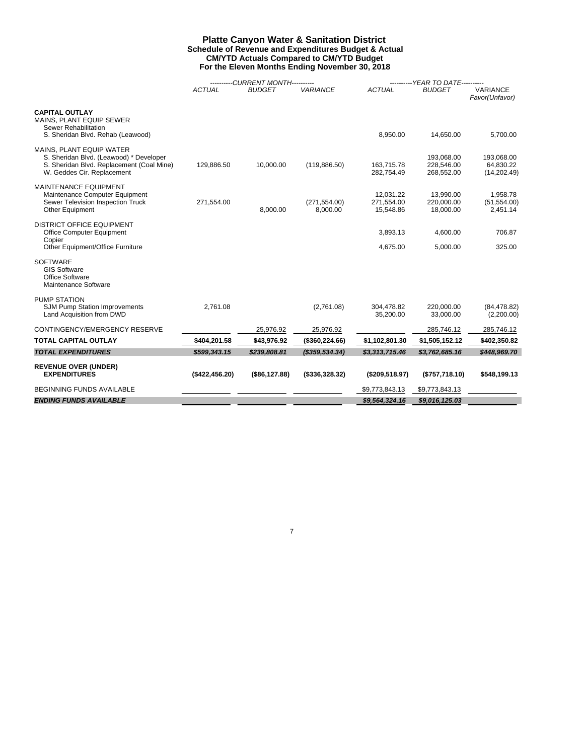#### **Platte Canyon Water & Sanitation District Schedule of Revenue and Expenditures Budget & Actual CM/YTD Actuals Compared to CM/YTD Budget For the Eleven Months Ending November 30, 2018**

|                                                                                                                                                |                | ----------CURRENT MONTH---------- |                           |                                      | ---------- YEAR TO DATE----------      |                                         |  |  |
|------------------------------------------------------------------------------------------------------------------------------------------------|----------------|-----------------------------------|---------------------------|--------------------------------------|----------------------------------------|-----------------------------------------|--|--|
|                                                                                                                                                | <b>ACTUAL</b>  | <b>BUDGET</b>                     | <b>VARIANCE</b>           | <b>ACTUAL</b>                        | <b>BUDGET</b>                          | <b>VARIANCE</b><br>Favor(Unfavor)       |  |  |
| <b>CAPITAL OUTLAY</b><br>MAINS, PLANT EQUIP SEWER<br>Sewer Rehabilitation<br>S. Sheridan Blvd. Rehab (Leawood)                                 |                |                                   |                           | 8,950.00                             | 14,650.00                              | 5,700.00                                |  |  |
| MAINS, PLANT EQUIP WATER<br>S. Sheridan Blvd. (Leawood) * Developer<br>S. Sheridan Blvd. Replacement (Coal Mine)<br>W. Geddes Cir. Replacement | 129,886.50     | 10,000.00                         | (119, 886.50)             | 163,715.78<br>282,754.49             | 193,068.00<br>228,546.00<br>268,552.00 | 193,068.00<br>64.830.22<br>(14, 202.49) |  |  |
| <b>MAINTENANCE EQUIPMENT</b><br>Maintenance Computer Equipment<br>Sewer Television Inspection Truck<br>Other Equipment                         | 271,554.00     | 8.000.00                          | (271, 554.00)<br>8.000.00 | 12.031.22<br>271,554.00<br>15,548.86 | 13,990.00<br>220,000.00<br>18,000.00   | 1,958.78<br>(51, 554.00)<br>2,451.14    |  |  |
| <b>DISTRICT OFFICE EQUIPMENT</b><br>Office Computer Equipment<br>Copier                                                                        |                |                                   |                           | 3,893.13                             | 4,600.00                               | 706.87                                  |  |  |
| Other Equipment/Office Furniture<br><b>SOFTWARE</b><br><b>GIS Software</b><br>Office Software<br>Maintenance Software                          |                |                                   |                           | 4,675.00                             | 5,000.00                               | 325.00                                  |  |  |
| <b>PUMP STATION</b><br>SJM Pump Station Improvements<br>Land Acquisition from DWD                                                              | 2.761.08       |                                   | (2,761.08)                | 304.478.82<br>35,200.00              | 220.000.00<br>33,000.00                | (84, 478.82)<br>(2,200.00)              |  |  |
| CONTINGENCY/EMERGENCY RESERVE                                                                                                                  |                | 25,976.92                         | 25,976.92                 |                                      | 285,746.12                             | 285,746.12                              |  |  |
| <b>TOTAL CAPITAL OUTLAY</b>                                                                                                                    | \$404,201.58   | \$43,976.92                       | (\$360,224.66)            | \$1,102,801.30                       | \$1,505,152.12                         | \$402,350.82                            |  |  |
| <b>TOTAL EXPENDITURES</b>                                                                                                                      | \$599,343.15   | \$239,808.81                      | $($ \$359,534.34 $)$      | \$3,313,715.46                       | \$3,762,685.16                         | \$448,969.70                            |  |  |
| <b>REVENUE OVER (UNDER)</b><br><b>EXPENDITURES</b>                                                                                             | (\$422,456.20) | (\$86,127.88)                     | (\$336,328.32)            | (\$209,518.97)                       | (\$757,718.10)                         | \$548,199.13                            |  |  |
| <b>BEGINNING FUNDS AVAILABLE</b>                                                                                                               |                |                                   |                           | \$9,773,843.13                       | \$9,773,843.13                         |                                         |  |  |
| <b>ENDING FUNDS AVAILABLE</b>                                                                                                                  |                |                                   |                           | \$9,564,324.16                       | \$9,016,125.03                         |                                         |  |  |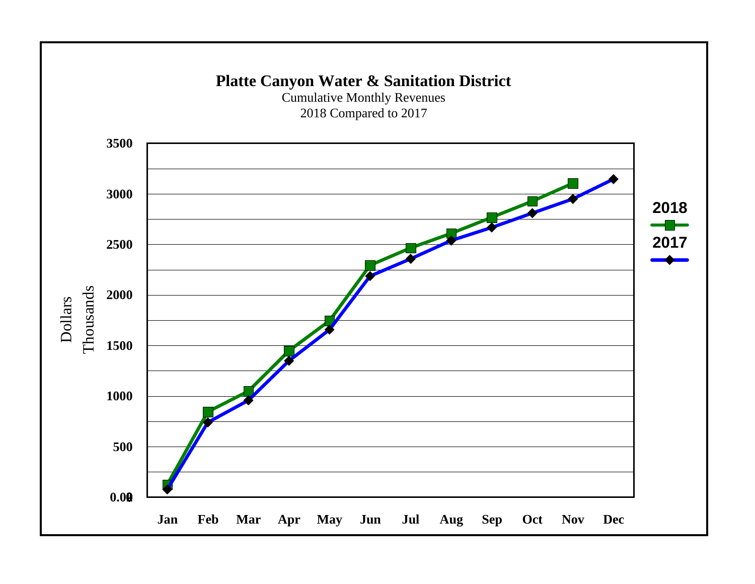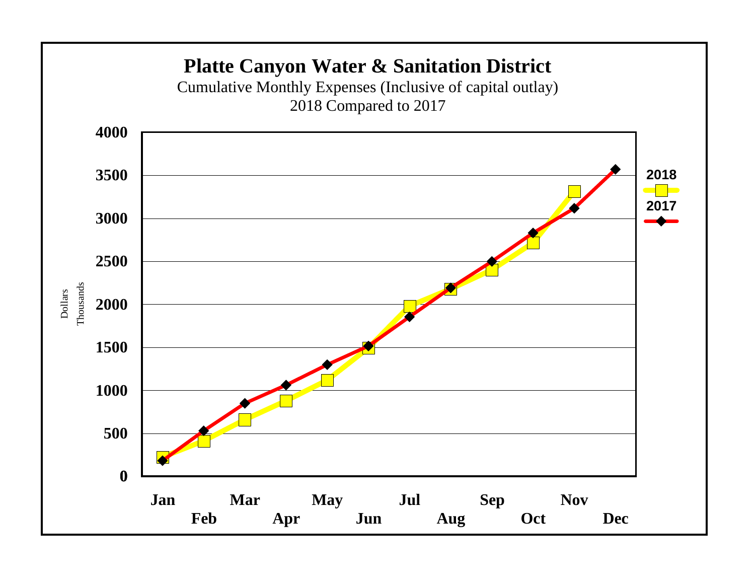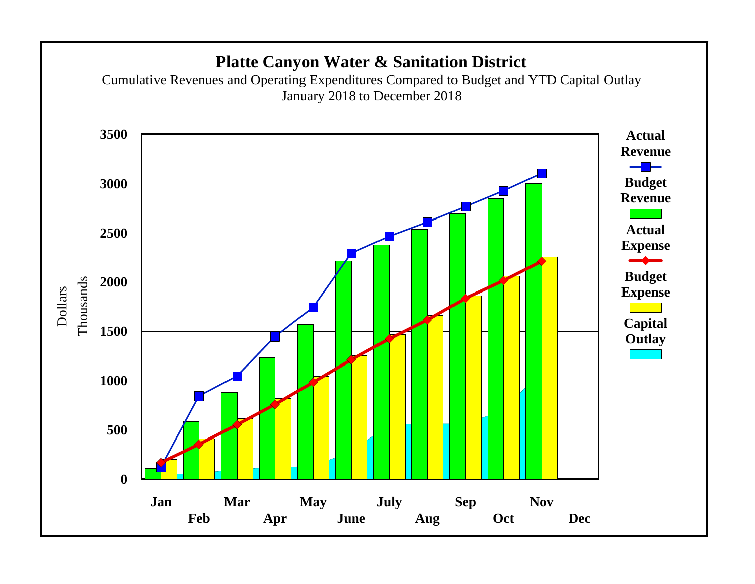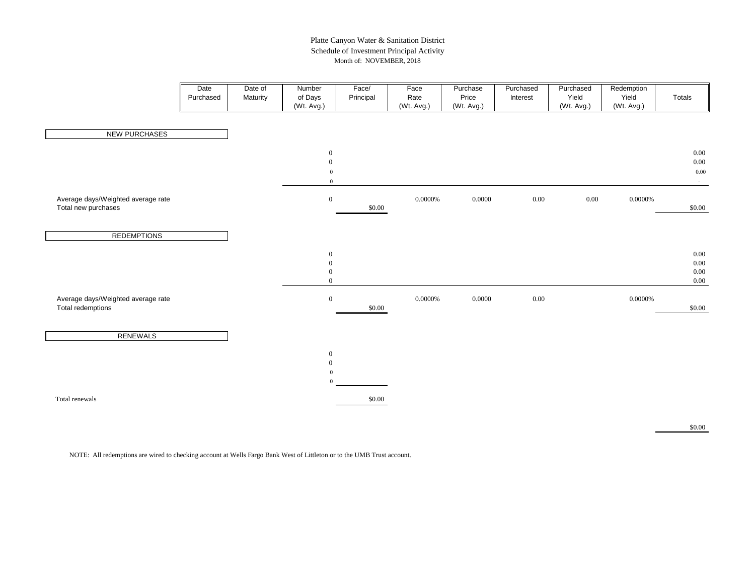### Platte Canyon Water & Sanitation District Schedule of Investment Principal Activity Month of: NOVEMBER, 2018

|                                                           | Date<br>Purchased | Date of<br>Maturity | Number<br>of Days<br>(Wt. Avg.)                                          | Face/<br>Principal | Face<br>Rate<br>(Wt. Avg.) | Purchase<br>Price<br>(Wt. Avg.) | Purchased<br>Interest | Purchased<br>Yield<br>(Wt. Avg.) | Redemption<br>Yield<br>(Wt. Avg.) | Totals                                         |
|-----------------------------------------------------------|-------------------|---------------------|--------------------------------------------------------------------------|--------------------|----------------------------|---------------------------------|-----------------------|----------------------------------|-----------------------------------|------------------------------------------------|
| <b>NEW PURCHASES</b>                                      |                   |                     |                                                                          |                    |                            |                                 |                       |                                  |                                   |                                                |
|                                                           |                   |                     | $\boldsymbol{0}$<br>$\boldsymbol{0}$<br>$\boldsymbol{0}$<br>$\mathbf{0}$ |                    |                            |                                 |                       |                                  |                                   | $0.00\,$<br>$0.00\,$<br>$0.00\,$<br>$\sim$ $-$ |
| Average days/Weighted average rate<br>Total new purchases |                   |                     | $\boldsymbol{0}$                                                         | \$0.00             | $0.0000\%$                 | 0.0000                          | $0.00\,$              | $0.00\,$                         | $0.0000\%$                        | \$0.00                                         |
| <b>REDEMPTIONS</b>                                        |                   |                     |                                                                          |                    |                            |                                 |                       |                                  |                                   |                                                |
|                                                           |                   |                     | $\boldsymbol{0}$<br>$\boldsymbol{0}$<br>$\mathbf{0}$<br>$\mathbf{0}$     |                    |                            |                                 |                       |                                  |                                   | $0.00\,$<br>$0.00\,$<br>$0.00\,$<br>$0.00\,$   |
| Average days/Weighted average rate<br>Total redemptions   |                   |                     | $\boldsymbol{0}$                                                         | $\$0.00$           | $0.0000\%$                 | 0.0000                          | $0.00\,$              |                                  | 0.0000%                           | \$0.00                                         |
| <b>RENEWALS</b>                                           |                   |                     |                                                                          |                    |                            |                                 |                       |                                  |                                   |                                                |
|                                                           |                   |                     | $\boldsymbol{0}$<br>$\mathbf{0}$<br>$\boldsymbol{0}$<br>$\mathbf{0}$     |                    |                            |                                 |                       |                                  |                                   |                                                |
| Total renewals                                            |                   |                     |                                                                          | \$0.00             |                            |                                 |                       |                                  |                                   |                                                |

\$0.00

NOTE: All redemptions are wired to checking account at Wells Fargo Bank West of Littleton or to the UMB Trust account.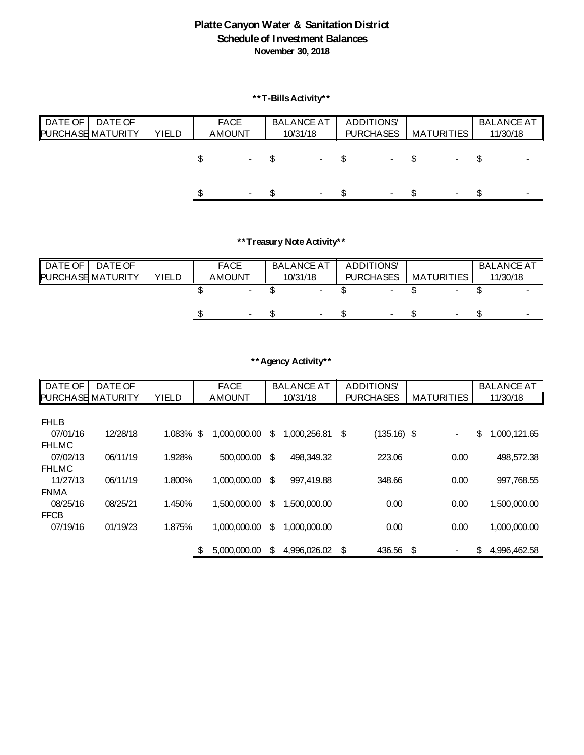## **Platte Canyon Water & Sanitation District Schedule of Investment Balances November 30, 2018**

**\*\*T-Bills Activity\*\***

| DATE OF  <br>DATE OF<br><b>PURCHASE MATURITY</b> | <b>YIELD</b> | <b>FACE</b><br><b>AMOUNT</b> |                | <b>BALANCE AT</b><br>10/31/18 | <b>ADDITIONS</b><br><b>PURCHASES</b> | <b>MATURITIES</b> | <b>BALANCE AT</b><br>11/30/18 |
|--------------------------------------------------|--------------|------------------------------|----------------|-------------------------------|--------------------------------------|-------------------|-------------------------------|
|                                                  |              |                              |                |                               |                                      |                   |                               |
|                                                  |              |                              | - ა            | - \$                          | – ა                                  |                   |                               |
|                                                  |              |                              | $\blacksquare$ | $\sim$                        | $\sim$                               |                   | $\sim$                        |

# **\*\*Treasury Note Activity\*\***

| DATE OF<br>DATE OF<br><b>PURCHASE MATURITY</b> | YIELD | <b>FACE</b><br><b>AMOUNT</b> |                          | <b>BALANCE AT</b><br>10/31/18 | <b>ADDITIONS</b><br><b>PURCHASES</b> | <b>MATURITIES</b> | <b>BALANCE AT</b><br>11/30/18 |
|------------------------------------------------|-------|------------------------------|--------------------------|-------------------------------|--------------------------------------|-------------------|-------------------------------|
|                                                |       |                              |                          |                               | $\overline{\phantom{0}}$             |                   |                               |
|                                                |       |                              | $\overline{\phantom{0}}$ |                               | $\sim$                               |                   |                               |

## **\*\*Agency Activity\*\***

| DATE OF                  | DATE OF  |              | <b>FACE</b>        |                           | <b>BALANCE AT</b> | <b>ADDITIONS</b>    |                          | <b>BALANCE AT</b>  |  |
|--------------------------|----------|--------------|--------------------|---------------------------|-------------------|---------------------|--------------------------|--------------------|--|
| <b>PURCHASE MATURITY</b> |          | <b>YIELD</b> | <b>AMOUNT</b>      |                           | 10/31/18          | <b>PURCHASES</b>    | <b>MATURITIES</b>        | 11/30/18           |  |
|                          |          |              |                    |                           |                   |                     |                          |                    |  |
| <b>FHLB</b>              |          |              |                    |                           |                   |                     |                          |                    |  |
| 07/01/16                 | 12/28/18 | $1.083\%$ \$ | 1,000,000.00       | \$                        | 1,000,256.81      | \$<br>$(135.16)$ \$ | $\overline{\phantom{0}}$ | \$<br>1,000,121.65 |  |
| <b>FHLMC</b>             |          |              |                    |                           |                   |                     |                          |                    |  |
| 07/02/13                 | 06/11/19 | 1.928%       | 500,000.00         | \$                        | 498,349.32        | 223.06              | 0.00                     | 498,572.38         |  |
| <b>FHLMC</b>             |          |              |                    |                           |                   |                     |                          |                    |  |
| 11/27/13                 | 06/11/19 | 1.800%       | 1,000,000.00       | \$                        | 997,419.88        | 348.66              | 0.00                     | 997,768.55         |  |
| <b>FNMA</b>              |          |              |                    |                           |                   |                     |                          |                    |  |
| 08/25/16                 | 08/25/21 | 1.450%       | 1,500,000.00       | $\boldsymbol{\mathsf{S}}$ | 1,500,000.00      | 0.00                | 0.00                     | 1,500,000.00       |  |
| <b>FFCB</b>              |          |              |                    |                           |                   |                     |                          |                    |  |
| 07/19/16                 | 01/19/23 | 1.875%       | 1,000,000.00       | $\mathfrak{S}$            | 1,000,000.00      | 0.00                | 0.00                     | 1,000,000.00       |  |
|                          |          |              |                    |                           |                   |                     |                          |                    |  |
|                          |          |              | \$<br>5,000,000.00 | \$                        | 4,996,026.02      | \$<br>436.56        | \$                       | \$<br>4,996,462.58 |  |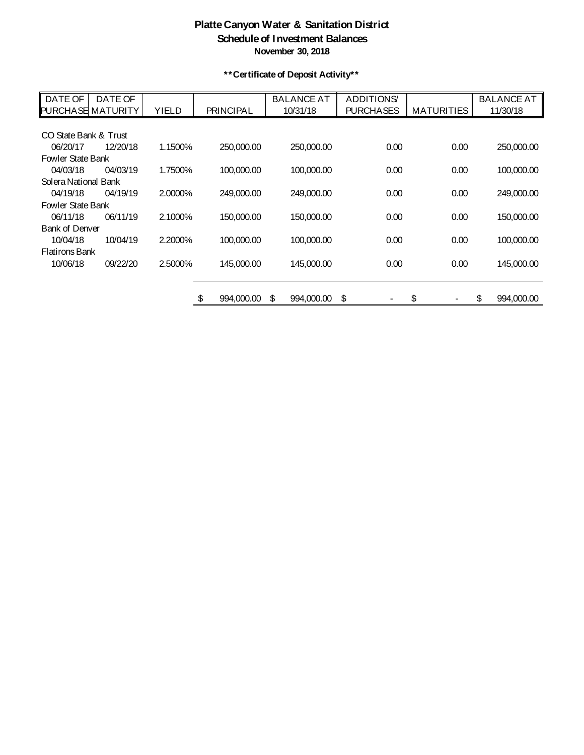## **Platte Canyon Water & Sanitation District Schedule of Investment Balances November 30, 2018**

**\*\*Certificate of Deposit Activity\*\***

| DATE OF                  | DATE OF  |              |                  | <b>BALANCE AT</b> | <b>ADDITIONS</b> |                   | <b>BALANCE AT</b> |
|--------------------------|----------|--------------|------------------|-------------------|------------------|-------------------|-------------------|
| <b>PURCHASE MATURITY</b> |          | <b>YIELD</b> | <b>PRINCIPAL</b> | 10/31/18          | <b>PURCHASES</b> | <b>MATURITIES</b> | 11/30/18          |
|                          |          |              |                  |                   |                  |                   |                   |
| CO State Bank & Trust    |          |              |                  |                   |                  |                   |                   |
| 06/20/17                 | 12/20/18 | 1.1500%      | 250,000.00       | 250,000.00        | 0.00             | 0.00              | 250,000.00        |
| <b>Fowler State Bank</b> |          |              |                  |                   |                  |                   |                   |
| 04/03/18                 | 04/03/19 | 1.7500%      | 100,000.00       | 100,000.00        | 0.00             | 0.00              | 100,000.00        |
| Solera National Bank     |          |              |                  |                   |                  |                   |                   |
| 04/19/18                 | 04/19/19 | 2.0000%      | 249,000.00       | 249,000.00        | 0.00             | 0.00              | 249,000.00        |
| <b>Fowler State Bank</b> |          |              |                  |                   |                  |                   |                   |
| 06/11/18                 | 06/11/19 | 2.1000%      | 150,000.00       | 150,000.00        | 0.00             | 0.00              | 150,000.00        |
| <b>Bank of Denver</b>    |          |              |                  |                   |                  |                   |                   |
| 10/04/18                 | 10/04/19 | 2.2000%      | 100,000.00       | 100,000.00        | 0.00             | 0.00              | 100,000.00        |
| <b>Flatirons Bank</b>    |          |              |                  |                   |                  |                   |                   |
| 10/06/18                 | 09/22/20 | 2.5000%      | 145,000.00       | 145,000.00        | 0.00             | 0.00              | 145,000.00        |
|                          |          |              |                  |                   |                  |                   |                   |
|                          |          |              |                  |                   |                  |                   |                   |
|                          |          |              | \$<br>994,000.00 | 994,000.00<br>\$  | \$               | \$                | \$<br>994,000.00  |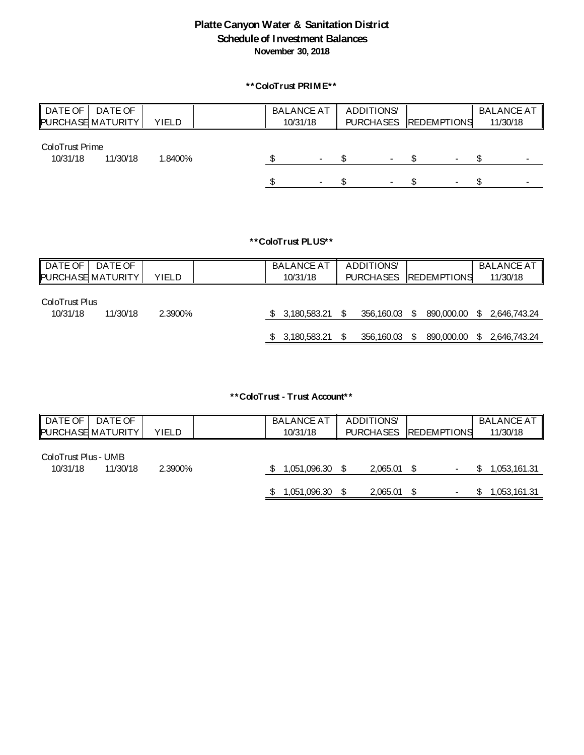## **Platte Canyon Water & Sanitation District Schedule of Investment Balances November 30, 2018**

## **\*\*ColoTrust PRIME\*\***

| DATE OF !<br><b>PURCHASE MATURITY</b> | DATE OF  | <b>YIELD</b> | <b>BALANCE AT</b><br>10/31/18 |        | <b>ADDITIONS</b>         | PURCHASES REDEMPTIONS | <b>BALANCE AT</b><br>11/30/18 |
|---------------------------------------|----------|--------------|-------------------------------|--------|--------------------------|-----------------------|-------------------------------|
| ColoTrust Prime<br>10/31/18           | 11/30/18 | 1.8400%      |                               | $\sim$ |                          |                       |                               |
|                                       |          |              |                               |        | $\overline{\phantom{0}}$ |                       | $\overline{\phantom{a}}$      |

**\*\*ColoTrust PLUS\*\***

| DATE OF<br><b>PURCHASE MATURITY</b> | DATE OF  | YIELD   |              | <b>BALANCE AT</b><br>10/31/18 | <b>ADDITIONS</b><br><b>PURCHASES</b> | <b>REDEMPTIONS</b> |  | <b>BALANCE AT   </b><br>11/30/18 |
|-------------------------------------|----------|---------|--------------|-------------------------------|--------------------------------------|--------------------|--|----------------------------------|
| ColoTrust Plus<br>10/31/18          | 11/30/18 | 2.3900% |              | \$3,180,583.21                | 356,160.03                           | - S                |  | 890,000.00 \$ 2,646,743.24       |
|                                     |          |         | $\mathbb{S}$ | 3,180,583.21                  | 356,160.03                           | \$                 |  | 890,000.00 \$ 2,646,743.24       |

**\*\*ColoTrust - Trust Account\*\***

| ∥ DATE OF<br>DATE OF<br><b>PURCHASE MATURITY</b> | YIELD   | <b>BALANCE AT</b><br>10/31/18 | <b>ADDITIONS</b> | PURCHASES REDEMPTIONS |    | <b>BALANCE AT  </b><br>11/30/18 |
|--------------------------------------------------|---------|-------------------------------|------------------|-----------------------|----|---------------------------------|
| ColoTrust Plus - UMB<br>10/31/18<br>11/30/18     | 2.3900% | 1,051,096.30                  | 2,065.01         |                       | S. | 1,053,161.31                    |
|                                                  |         | 1,051,096.30                  | 2,065.01         |                       |    | 1,053,161.31                    |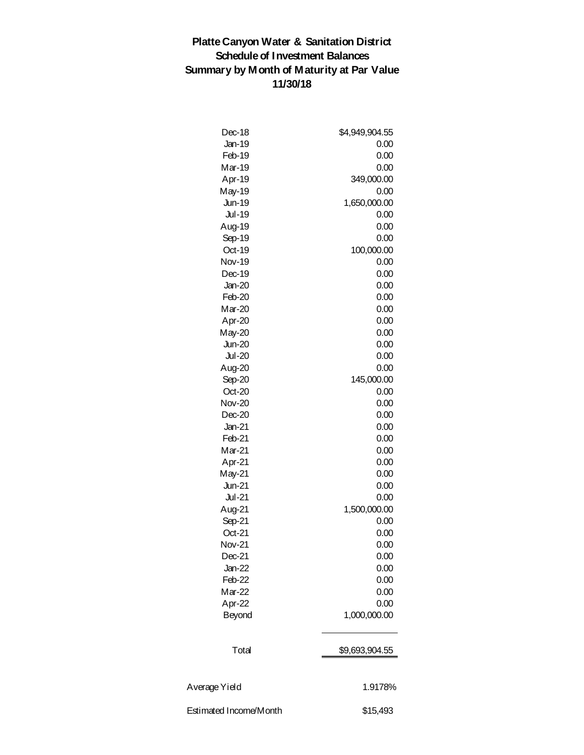# **Platte Canyon Water & Sanitation District Schedule of Investment Balances Summary by Month of Maturity at Par Value 11/30/18**

| Dec-18                 | \$4,949,904.55 |
|------------------------|----------------|
| <b>Jan-19</b>          | 0.00           |
| Feb-19                 | 0.00           |
| Mar-19                 | 0.00           |
| Apr-19                 | 349,000.00     |
| May-19                 | 0.00           |
| <b>Jun-19</b>          | 1,650,000.00   |
| <b>Jul-19</b>          | 0.00           |
| Aug-19                 | 0.00           |
| Sep-19                 | 0.00           |
| Oct-19                 | 100,000.00     |
| <b>Nov-19</b>          | 0.00           |
| Dec-19                 | 0.00           |
| $Jan-20$               | 0.00           |
| Feb-20                 | 0.00           |
| Mar-20                 | 0.00           |
| Apr-20                 | 0.00           |
| $May-20$               | 0.00           |
| <b>Jun-20</b>          | 0.00           |
| $Jul-20$               | 0.00           |
| Aug-20                 | 0.00           |
| Sep-20                 | 145,000.00     |
| Oct-20                 | 0.00           |
| <b>Nov-20</b>          | 0.00           |
| $Dec-20$               | 0.00           |
| $Jan-21$               | 0.00           |
| Feb-21                 | 0.00           |
| Mar-21                 | 0.00           |
| Apr-21                 | 0.00           |
| May-21                 | 0.00           |
| <b>Jun-21</b>          | 0.00           |
| $Jul-21$               | 0.00           |
| Aug-21                 | 1,500,000.00   |
| Sep-21                 | 0.00           |
| Oct-21                 | 0.00           |
| <b>Nov-21</b>          | 0.00           |
| $Dec-21$               | 0.00           |
| <b>Jan-22</b>          | 0.00           |
| Feb-22                 | 0.00           |
| Mar-22                 | 0.00           |
|                        | 0.00           |
| Apr-22                 |                |
| <b>Beyond</b>          | 1,000,000.00   |
| Total                  | \$9,693,904.55 |
|                        |                |
| Average Yield          | 1.9178%        |
| Estimated Income/Month | \$15,493       |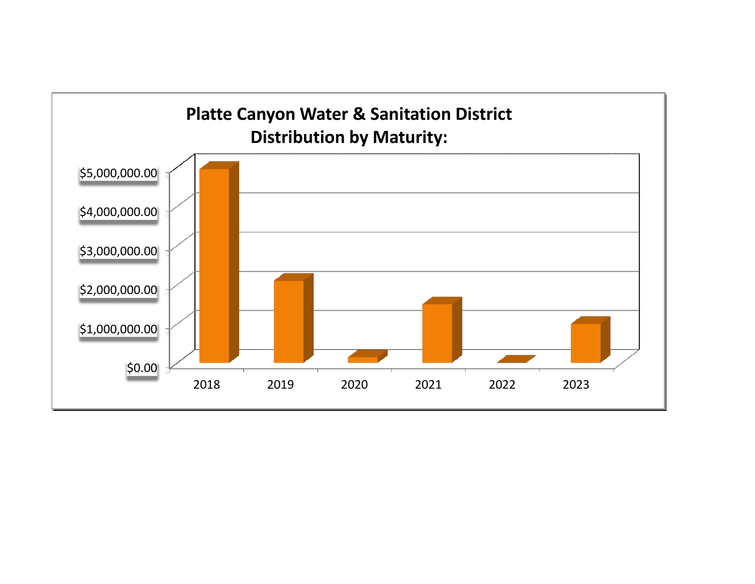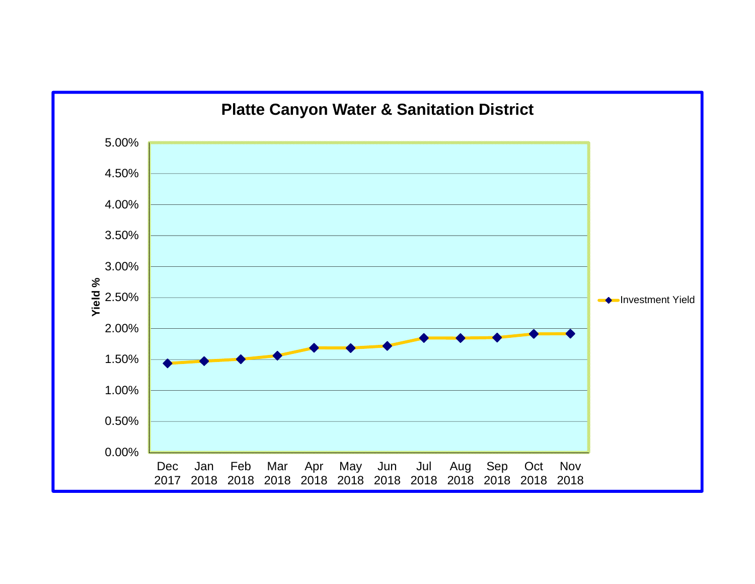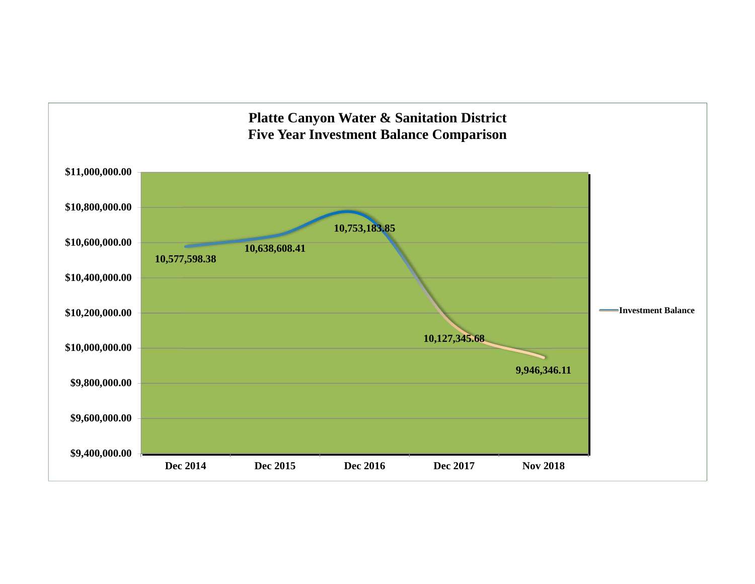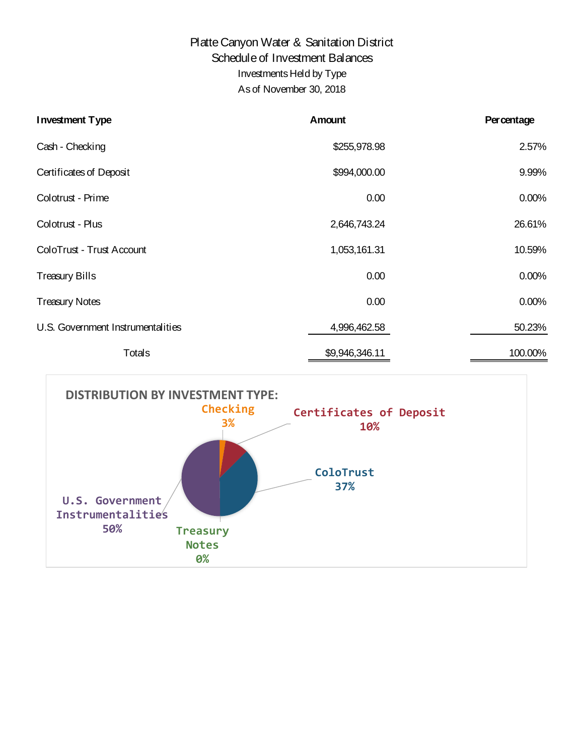# Platte Canyon Water & Sanitation District Schedule of Investment Balances Investments Held by Type As of November 30, 2018

| <b>Investment Type</b>            | Amount         | <b>Percentage</b> |
|-----------------------------------|----------------|-------------------|
| Cash - Checking                   | \$255,978.98   | 2.57%             |
| Certificates of Deposit           | \$994,000.00   | 9.99%             |
| Colotrust - Prime                 | 0.00           | 0.00%             |
| Colotrust - Plus                  | 2,646,743.24   | 26.61%            |
| ColoTrust - Trust Account         | 1,053,161.31   | 10.59%            |
| <b>Treasury Bills</b>             | 0.00           | $0.00\%$          |
| <b>Treasury Notes</b>             | 0.00           | 0.00%             |
| U.S. Government Instrumentalities | 4,996,462.58   | 50.23%            |
| <b>Totals</b>                     | \$9,946,346.11 | 100.00%           |

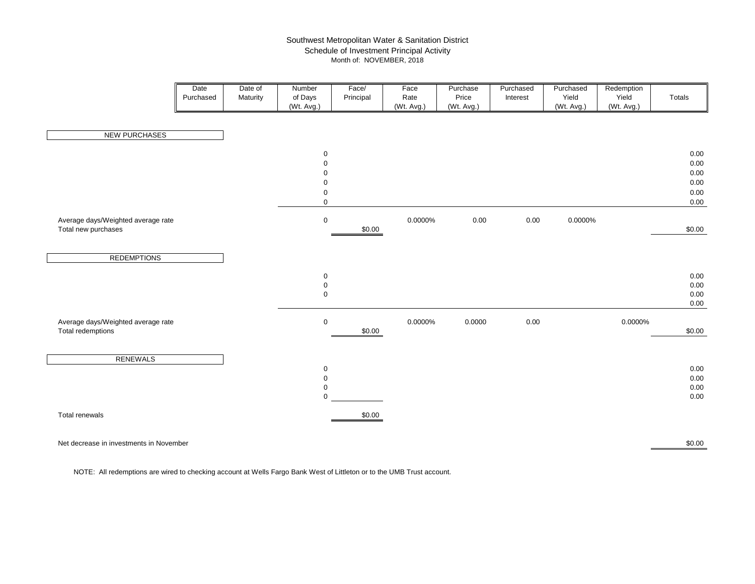#### Southwest Metropolitan Water & Sanitation District Schedule of Investment Principal Activity Month of: NOVEMBER, 2018

|                                                           | Date<br>Purchased | Date of<br>Maturity | Number<br>of Days<br>(Wt. Avg.)                                                  | Face/<br>Principal | Face<br>Rate<br>(Wt. Avg.) | Purchase<br>Price<br>(Wt. Avg.) | Purchased<br>Interest | Purchased<br>Yield<br>(Wt. Avg.) | Redemption<br>Yield<br>(Wt. Avg.) | Totals                                       |
|-----------------------------------------------------------|-------------------|---------------------|----------------------------------------------------------------------------------|--------------------|----------------------------|---------------------------------|-----------------------|----------------------------------|-----------------------------------|----------------------------------------------|
| <b>NEW PURCHASES</b>                                      |                   |                     |                                                                                  |                    |                            |                                 |                       |                                  |                                   |                                              |
|                                                           |                   |                     | $\mathbf 0$<br>$\mathsf 0$<br>$\pmb{0}$<br>$\pmb{0}$<br>$\pmb{0}$<br>$\mathsf 0$ |                    |                            |                                 |                       |                                  |                                   | 0.00<br>0.00<br>0.00<br>0.00<br>0.00<br>0.00 |
| Average days/Weighted average rate<br>Total new purchases |                   |                     | $\mathbf 0$                                                                      | \$0.00             | 0.0000%                    | $0.00\,$                        | $0.00\,$              | 0.0000%                          |                                   | \$0.00                                       |
| <b>REDEMPTIONS</b>                                        |                   |                     |                                                                                  |                    |                            |                                 |                       |                                  |                                   |                                              |
|                                                           |                   |                     | $\mathbf 0$<br>$\mathsf 0$<br>$\mathbf 0$                                        |                    |                            |                                 |                       |                                  |                                   | 0.00<br>0.00<br>0.00<br>0.00                 |
| Average days/Weighted average rate<br>Total redemptions   |                   |                     | $\mathbf 0$                                                                      | \$0.00             | 0.0000%                    | 0.0000                          | 0.00                  |                                  | 0.0000%                           | \$0.00                                       |
| <b>RENEWALS</b>                                           |                   |                     | $\mathbf 0$<br>$\mathsf 0$<br>$\mathbf 0$<br>$\Omega$                            |                    |                            |                                 |                       |                                  |                                   | 0.00<br>0.00<br>0.00<br>0.00                 |
| Total renewals                                            |                   |                     |                                                                                  | \$0.00             |                            |                                 |                       |                                  |                                   |                                              |

Net decrease in investments in November

r 1986 - 1986 - 1987 - 1988 - 1989 - 1989 - 1989 - 1989 - 1989 - 1989 - 1989 - 1989 - 1989 - 1989 - 1980 - 19

NOTE: All redemptions are wired to checking account at Wells Fargo Bank West of Littleton or to the UMB Trust account.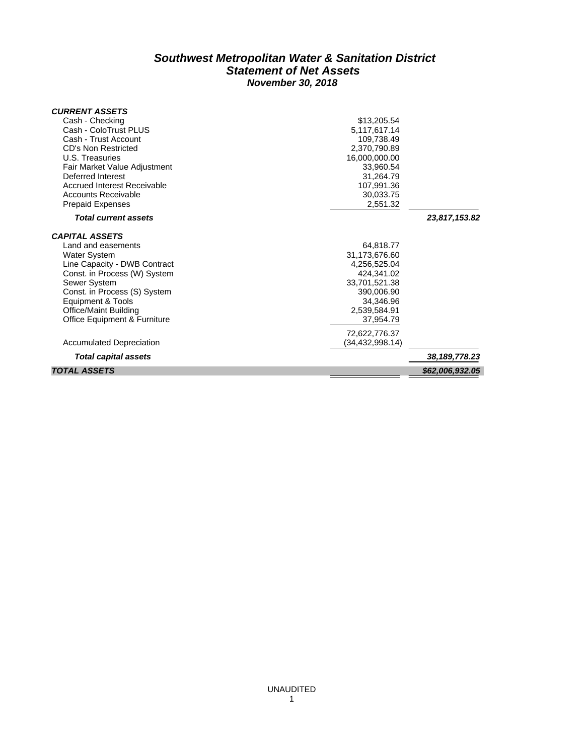### *Southwest Metropolitan Water & Sanitation District Statement of Net Assets November 30, 2018*

| <b>CURRENT ASSETS</b>                   |                 |                 |
|-----------------------------------------|-----------------|-----------------|
| Cash - Checking                         | \$13,205.54     |                 |
| Cash - ColoTrust PLUS                   | 5,117,617.14    |                 |
| Cash - Trust Account                    | 109,738.49      |                 |
| CD's Non Restricted                     | 2,370,790.89    |                 |
| U.S. Treasuries                         | 16,000,000.00   |                 |
| Fair Market Value Adjustment            | 33,960.54       |                 |
| Deferred Interest                       | 31,264.79       |                 |
| Accrued Interest Receivable             | 107,991.36      |                 |
| Accounts Receivable                     | 30,033.75       |                 |
| <b>Prepaid Expenses</b>                 | 2,551.32        |                 |
| <b>Total current assets</b>             |                 | 23,817,153.82   |
| <b>CAPITAL ASSETS</b>                   |                 |                 |
| Land and easements                      | 64,818.77       |                 |
| <b>Water System</b>                     | 31,173,676.60   |                 |
| Line Capacity - DWB Contract            | 4,256,525.04    |                 |
| Const. in Process (W) System            | 424,341.02      |                 |
| Sewer System                            | 33,701,521.38   |                 |
| Const. in Process (S) System            | 390,006.90      |                 |
| <b>Equipment &amp; Tools</b>            | 34.346.96       |                 |
| Office/Maint Building                   | 2,539,584.91    |                 |
| <b>Office Equipment &amp; Furniture</b> | 37,954.79       |                 |
|                                         | 72,622,776.37   |                 |
| <b>Accumulated Depreciation</b>         | (34,432,998.14) |                 |
| <b>Total capital assets</b>             |                 | 38, 189, 778.23 |
| <b>TOTAL ASSETS</b>                     |                 | \$62,006,932.05 |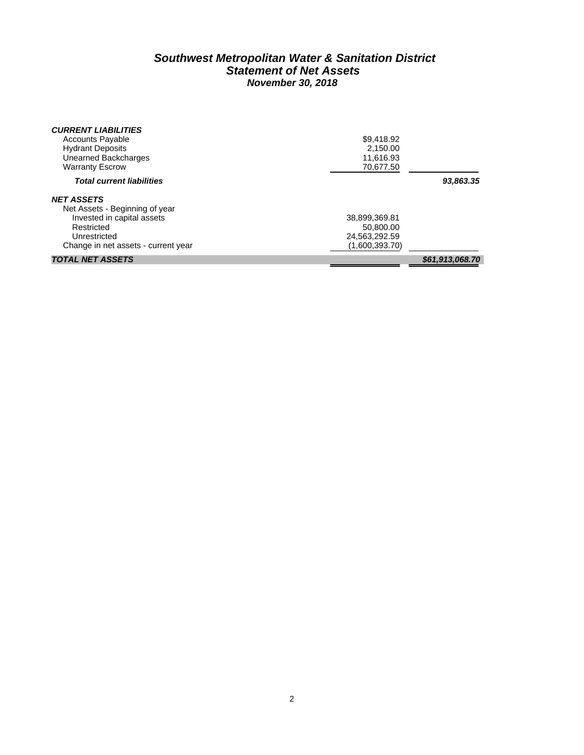### *Southwest Metropolitan Water & Sanitation District Statement of Net Assets November 30, 2018*

| <b>CURRENT LIABILITIES</b>          |                |                 |
|-------------------------------------|----------------|-----------------|
| <b>Accounts Payable</b>             | \$9,418.92     |                 |
| <b>Hydrant Deposits</b>             | 2.150.00       |                 |
| Unearned Backcharges                | 11,616.93      |                 |
| <b>Warranty Escrow</b>              | 70.677.50      |                 |
| <b>Total current liabilities</b>    |                | 93,863.35       |
| <b>NET ASSETS</b>                   |                |                 |
| Net Assets - Beginning of year      |                |                 |
| Invested in capital assets          | 38,899,369.81  |                 |
| Restricted                          | 50.800.00      |                 |
| Unrestricted                        | 24,563,292.59  |                 |
| Change in net assets - current year | (1,600,393.70) |                 |
| <b>TOTAL NET ASSETS</b>             |                | \$61,913,068.70 |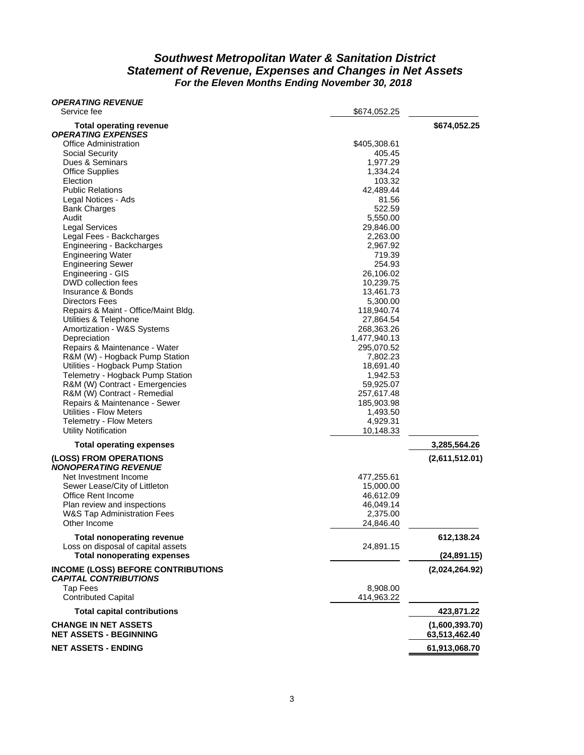### *Southwest Metropolitan Water & Sanitation District Statement of Revenue, Expenses and Changes in Net Assets For the Eleven Months Ending November 30, 2018*

| <i><b>OPERATING REVENUE</b></i><br>Service fee                            | \$674,052.25            |                                 |
|---------------------------------------------------------------------------|-------------------------|---------------------------------|
|                                                                           |                         |                                 |
| <b>Total operating revenue</b><br><b>OPERATING EXPENSES</b>               |                         | \$674,052.25                    |
| <b>Office Administration</b>                                              | \$405,308.61            |                                 |
| Social Security                                                           | 405.45                  |                                 |
| Dues & Seminars                                                           | 1,977.29                |                                 |
| <b>Office Supplies</b>                                                    | 1,334.24                |                                 |
| Election                                                                  | 103.32                  |                                 |
| <b>Public Relations</b>                                                   | 42,489.44               |                                 |
| Legal Notices - Ads                                                       | 81.56                   |                                 |
| <b>Bank Charges</b><br>Audit                                              | 522.59<br>5,550.00      |                                 |
| <b>Legal Services</b>                                                     | 29,846.00               |                                 |
| Legal Fees - Backcharges                                                  | 2,263.00                |                                 |
| Engineering - Backcharges                                                 | 2,967.92                |                                 |
| <b>Engineering Water</b>                                                  | 719.39                  |                                 |
| <b>Engineering Sewer</b>                                                  | 254.93                  |                                 |
| Engineering - GIS                                                         | 26,106.02               |                                 |
| DWD collection fees                                                       | 10,239.75               |                                 |
| Insurance & Bonds                                                         | 13,461.73               |                                 |
| Directors Fees                                                            | 5,300.00                |                                 |
| Repairs & Maint - Office/Maint Bldg.<br>Utilities & Telephone             | 118,940.74<br>27,864.54 |                                 |
| Amortization - W&S Systems                                                | 268,363.26              |                                 |
| Depreciation                                                              | 1,477,940.13            |                                 |
| Repairs & Maintenance - Water                                             | 295,070.52              |                                 |
| R&M (W) - Hogback Pump Station                                            | 7,802.23                |                                 |
| Utilities - Hogback Pump Station                                          | 18,691.40               |                                 |
| Telemetry - Hogback Pump Station                                          | 1,942.53                |                                 |
| R&M (W) Contract - Emergencies                                            | 59,925.07               |                                 |
| R&M (W) Contract - Remedial                                               | 257,617.48              |                                 |
| Repairs & Maintenance - Sewer                                             | 185,903.98              |                                 |
| Utilities - Flow Meters                                                   | 1,493.50                |                                 |
| <b>Telemetry - Flow Meters</b>                                            | 4,929.31                |                                 |
| <b>Utility Notification</b>                                               | 10,148.33               |                                 |
| <b>Total operating expenses</b>                                           |                         | 3,285,564.26                    |
| (LOSS) FROM OPERATIONS<br><b>NONOPERATING REVENUE</b>                     |                         | (2,611,512.01)                  |
| Net Investment Income                                                     | 477,255.61              |                                 |
| Sewer Lease/City of Littleton                                             | 15,000.00               |                                 |
| Office Rent Income                                                        | 46,612.09               |                                 |
| Plan review and inspections                                               | 46,049.14               |                                 |
| <b>W&amp;S Tap Administration Fees</b>                                    | 2,375.00                |                                 |
| Other Income                                                              | 24,846.40               |                                 |
| <b>Total nonoperating revenue</b>                                         |                         | 612,138.24                      |
| Loss on disposal of capital assets                                        | 24,891.15               |                                 |
| <b>Total nonoperating expenses</b>                                        |                         | (24, 891.15)                    |
| <b>INCOME (LOSS) BEFORE CONTRIBUTIONS</b><br><b>CAPITAL CONTRIBUTIONS</b> |                         | (2,024,264.92)                  |
| <b>Tap Fees</b>                                                           | 8.908.00                |                                 |
| <b>Contributed Capital</b>                                                | 414,963.22              |                                 |
| <b>Total capital contributions</b>                                        |                         | 423,871.22                      |
| <b>CHANGE IN NET ASSETS</b><br><b>NET ASSETS - BEGINNING</b>              |                         | (1,600,393.70)<br>63,513,462.40 |
| <b>NET ASSETS - ENDING</b>                                                |                         | 61,913,068.70                   |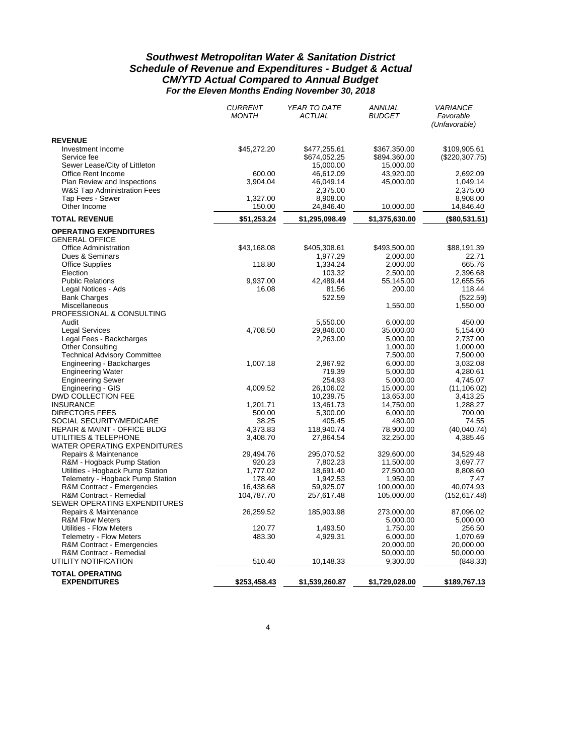### *Southwest Metropolitan Water & Sanitation District Schedule of Revenue and Expenditures - Budget & Actual CM/YTD Actual Compared to Annual Budget For the Eleven Months Ending November 30, 2018*

|                                                                       | <b>CURRENT</b><br><b>MONTH</b> | YEAR TO DATE<br><b>ACTUAL</b> | <b>ANNUAL</b><br><b>BUDGET</b> | <b>VARIANCE</b><br>Favorable<br>(Unfavorable) |
|-----------------------------------------------------------------------|--------------------------------|-------------------------------|--------------------------------|-----------------------------------------------|
| <b>REVENUE</b>                                                        |                                |                               |                                |                                               |
| Investment Income                                                     | \$45,272.20                    | \$477,255.61                  | \$367,350.00                   | \$109,905.61                                  |
| Service fee                                                           |                                | \$674,052.25                  | \$894,360.00                   | (\$220,307.75)                                |
| Sewer Lease/City of Littleton                                         |                                | 15,000.00                     | 15,000.00                      |                                               |
| Office Rent Income                                                    | 600.00                         | 46,612.09                     | 43,920.00                      | 2,692.09                                      |
| Plan Review and Inspections<br><b>W&amp;S Tap Administration Fees</b> | 3,904.04                       | 46,049.14<br>2,375.00         | 45,000.00                      | 1,049.14<br>2,375.00                          |
| Tap Fees - Sewer                                                      | 1,327.00                       | 8,908.00                      |                                | 8,908.00                                      |
| Other Income                                                          | 150.00                         | 24,846.40                     | 10,000.00                      | 14,846.40                                     |
| <b>TOTAL REVENUE</b>                                                  | \$51,253.24                    | \$1,295,098.49                | \$1,375,630.00                 | (\$80,531.51)                                 |
| <b>OPERATING EXPENDITURES</b>                                         |                                |                               |                                |                                               |
| <b>GENERAL OFFICE</b>                                                 |                                |                               |                                |                                               |
| <b>Office Administration</b>                                          | \$43,168.08                    | \$405,308.61                  | \$493,500.00                   | \$88,191.39                                   |
| Dues & Seminars<br><b>Office Supplies</b>                             | 118.80                         | 1,977.29<br>1,334.24          | 2,000.00<br>2,000.00           | 22.71<br>665.76                               |
| Election                                                              |                                | 103.32                        | 2,500.00                       | 2,396.68                                      |
| <b>Public Relations</b>                                               | 9,937.00                       | 42,489.44                     | 55,145.00                      | 12,655.56                                     |
| Legal Notices - Ads                                                   | 16.08                          | 81.56                         | 200.00                         | 118.44                                        |
| <b>Bank Charges</b>                                                   |                                | 522.59                        |                                | (522.59)                                      |
| Miscellaneous                                                         |                                |                               | 1,550.00                       | 1,550.00                                      |
| PROFESSIONAL & CONSULTING                                             |                                |                               |                                |                                               |
| Audit                                                                 |                                | 5,550.00                      | 6,000.00                       | 450.00                                        |
| <b>Legal Services</b>                                                 | 4.708.50                       | 29,846.00                     | 35,000.00                      | 5.154.00                                      |
| Legal Fees - Backcharges<br><b>Other Consulting</b>                   |                                | 2,263.00                      | 5,000.00<br>1,000.00           | 2,737.00<br>1,000.00                          |
| <b>Technical Advisory Committee</b>                                   |                                |                               | 7,500.00                       | 7,500.00                                      |
| Engineering - Backcharges                                             | 1,007.18                       | 2,967.92                      | 6,000.00                       | 3,032.08                                      |
| <b>Engineering Water</b>                                              |                                | 719.39                        | 5,000.00                       | 4,280.61                                      |
| <b>Engineering Sewer</b>                                              |                                | 254.93                        | 5,000.00                       | 4,745.07                                      |
| Engineering - GIS                                                     | 4,009.52                       | 26,106.02                     | 15,000.00                      | (11, 106.02)                                  |
| DWD COLLECTION FEE                                                    |                                | 10,239.75                     | 13,653.00                      | 3,413.25                                      |
| <b>INSURANCE</b>                                                      | 1,201.71                       | 13,461.73                     | 14,750.00                      | 1,288.27                                      |
| <b>DIRECTORS FEES</b><br>SOCIAL SECURITY/MEDICARE                     | 500.00<br>38.25                | 5,300.00<br>405.45            | 6,000.00<br>480.00             | 700.00<br>74.55                               |
| <b>REPAIR &amp; MAINT - OFFICE BLDG</b>                               | 4,373.83                       | 118,940.74                    | 78,900.00                      | (40,040.74)                                   |
| UTILITIES & TELEPHONE                                                 | 3,408.70                       | 27,864.54                     | 32,250.00                      | 4,385.46                                      |
| WATER OPERATING EXPENDITURES                                          |                                |                               |                                |                                               |
| Repairs & Maintenance                                                 | 29,494.76                      | 295,070.52                    | 329,600.00                     | 34,529.48                                     |
| R&M - Hogback Pump Station                                            | 920.23                         | 7,802.23                      | 11,500.00                      | 3,697.77                                      |
| Utilities - Hogback Pump Station                                      | 1,777.02                       | 18,691.40                     | 27,500.00                      | 8,808.60                                      |
| Telemetry - Hogback Pump Station                                      | 178.40                         | 1,942.53                      | 1,950.00                       | 7.47                                          |
| R&M Contract - Emergencies                                            | 16,438.68                      | 59,925.07                     | 100,000.00                     | 40,074.93                                     |
| R&M Contract - Remedial<br>SEWER OPERATING EXPENDITURES               | 104,787.70                     | 257,617.48                    | 105,000.00                     | (152, 617.48)                                 |
| Repairs & Maintenance                                                 | 26,259.52                      | 185,903.98                    | 273,000.00                     | 87,096.02                                     |
| <b>R&amp;M Flow Meters</b>                                            |                                |                               | 5,000.00                       | 5,000.00                                      |
| <b>Utilities - Flow Meters</b>                                        | 120.77                         | 1,493.50                      | 1,750.00                       | 256.50                                        |
| <b>Telemetry - Flow Meters</b>                                        | 483.30                         | 4,929.31                      | 6,000.00                       | 1,070.69                                      |
| R&M Contract - Emergencies<br>R&M Contract - Remedial                 |                                |                               | 20,000.00<br>50,000.00         | 20,000.00<br>50,000.00                        |
| UTILITY NOTIFICATION                                                  | 510.40                         | 10,148.33                     | 9,300.00                       | (848.33)                                      |
|                                                                       |                                |                               |                                |                                               |
| <b>TOTAL OPERATING</b><br><b>EXPENDITURES</b>                         | \$253,458.43                   | \$1,539,260.87                | \$1,729,028.00                 | \$189,767.13                                  |
|                                                                       |                                |                               |                                |                                               |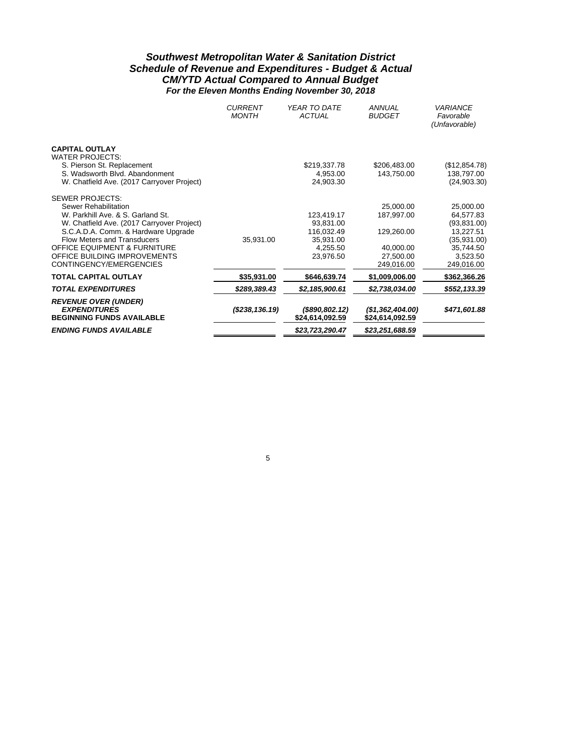### *Southwest Metropolitan Water & Sanitation District Schedule of Revenue and Expenditures - Budget & Actual CM/YTD Actual Compared to Annual Budget For the Eleven Months Ending November 30, 2018*

|                                                                                                                                                                                                                                                                                                                      | <b>CURRENT</b><br><b>MONTH</b> | YEAR TO DATE<br><b>ACTUAL</b>                                               | ANNUAL<br><b>BUDGET</b>                                                       | VARIANCE<br>Favorable<br>(Unfavorable)                                                                   |
|----------------------------------------------------------------------------------------------------------------------------------------------------------------------------------------------------------------------------------------------------------------------------------------------------------------------|--------------------------------|-----------------------------------------------------------------------------|-------------------------------------------------------------------------------|----------------------------------------------------------------------------------------------------------|
| <b>CAPITAL OUTLAY</b><br><b>WATER PROJECTS:</b><br>S. Pierson St. Replacement<br>S. Wadsworth Blvd. Abandonment<br>W. Chatfield Ave. (2017 Carryover Project)                                                                                                                                                        |                                | \$219,337.78<br>4,953.00<br>24,903.30                                       | \$206,483.00<br>143,750.00                                                    | (\$12,854.78)<br>138,797.00<br>(24,903.30)                                                               |
| <b>SEWER PROJECTS:</b><br>Sewer Rehabilitation<br>W. Parkhill Ave. & S. Garland St.<br>W. Chatfield Ave. (2017 Carryover Project)<br>S.C.A.D.A. Comm. & Hardware Upgrade<br><b>Flow Meters and Transducers</b><br><b>OFFICE EQUIPMENT &amp; FURNITURE</b><br>OFFICE BUILDING IMPROVEMENTS<br>CONTINGENCY/EMERGENCIES | 35,931.00                      | 123,419.17<br>93,831.00<br>116,032.49<br>35,931.00<br>4,255.50<br>23,976.50 | 25,000.00<br>187,997.00<br>129,260.00<br>40,000.00<br>27.500.00<br>249.016.00 | 25,000.00<br>64,577.83<br>(93,831.00)<br>13,227.51<br>(35,931.00)<br>35,744.50<br>3,523.50<br>249,016.00 |
| <b>TOTAL CAPITAL OUTLAY</b>                                                                                                                                                                                                                                                                                          | \$35,931.00                    | \$646,639.74                                                                | \$1,009,006.00                                                                | \$362,366.26                                                                                             |
| <b>TOTAL EXPENDITURES</b>                                                                                                                                                                                                                                                                                            | \$289,389.43                   | \$2,185,900.61                                                              | \$2,738,034.00                                                                | \$552,133.39                                                                                             |
| <b>REVENUE OVER (UNDER)</b><br><b>EXPENDITURES</b><br><b>BEGINNING FUNDS AVAILABLE</b>                                                                                                                                                                                                                               | (S238, 136.19)                 | $($ \$890,802.12)<br>\$24,614,092.59                                        | (\$1,362,404.00)<br>\$24,614,092.59                                           | \$471,601.88                                                                                             |
| <b>ENDING FUNDS AVAILABLE</b>                                                                                                                                                                                                                                                                                        |                                | \$23,723,290.47                                                             | \$23,251,688.59                                                               |                                                                                                          |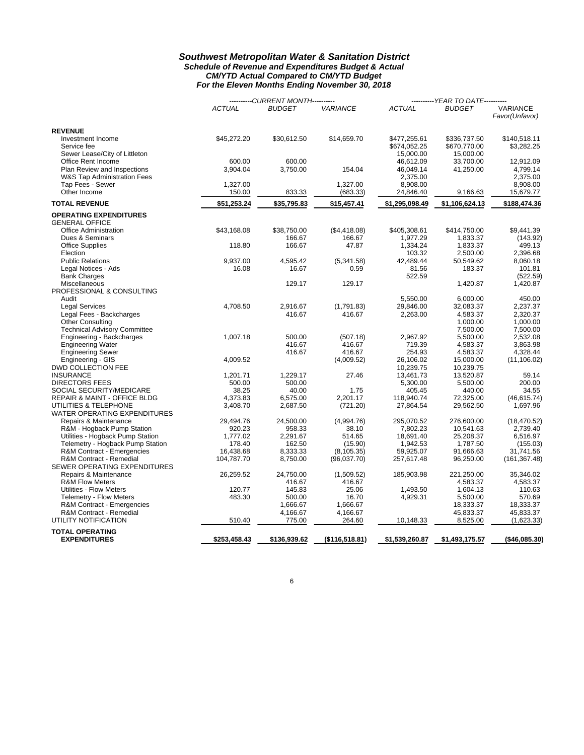#### *Southwest Metropolitan Water & Sanitation District Schedule of Revenue and Expenditures Budget & Actual CM/YTD Actual Compared to CM/YTD Budget For the Eleven Months Ending November 30, 2018*

|                                     |               | ----------CURRENT MONTH---------- |                 | ----------YEAR TO DATE---------- |                |                 |  |
|-------------------------------------|---------------|-----------------------------------|-----------------|----------------------------------|----------------|-----------------|--|
|                                     | <b>ACTUAL</b> | <b>BUDGET</b>                     | <b>VARIANCE</b> | <b>ACTUAL</b>                    | <b>BUDGET</b>  | <b>VARIANCE</b> |  |
|                                     |               |                                   |                 |                                  |                | Favor(Unfavor)  |  |
| <b>REVENUE</b>                      |               |                                   |                 |                                  |                |                 |  |
| Investment Income                   | \$45,272.20   | \$30,612.50                       | \$14,659.70     | \$477,255.61                     | \$336,737.50   | \$140,518.11    |  |
| Service fee                         |               |                                   |                 | \$674,052.25                     | \$670,770.00   | \$3,282.25      |  |
| Sewer Lease/City of Littleton       |               |                                   |                 | 15,000.00                        | 15,000.00      |                 |  |
| Office Rent Income                  | 600.00        | 600.00                            |                 | 46,612.09                        | 33,700.00      | 12,912.09       |  |
| Plan Review and Inspections         | 3,904.04      | 3,750.00                          | 154.04          | 46,049.14                        | 41,250.00      | 4,799.14        |  |
| W&S Tap Administration Fees         |               |                                   |                 | 2,375.00                         |                | 2,375.00        |  |
| Tap Fees - Sewer                    | 1,327.00      |                                   | 1,327.00        | 8,908.00                         |                | 8,908.00        |  |
| Other Income                        | 150.00        | 833.33                            | (683.33)        | 24,846.40                        | 9,166.63       | 15,679.77       |  |
| <b>TOTAL REVENUE</b>                | \$51,253.24   | \$35,795.83                       | \$15,457.41     | \$1,295,098.49                   | \$1,106,624.13 | \$188,474.36    |  |
| <b>OPERATING EXPENDITURES</b>       |               |                                   |                 |                                  |                |                 |  |
| <b>GENERAL OFFICE</b>               |               |                                   |                 |                                  |                |                 |  |
| <b>Office Administration</b>        | \$43,168.08   | \$38,750.00                       | (\$4,418.08)    | \$405,308.61                     | \$414,750.00   | \$9,441.39      |  |
| Dues & Seminars                     |               | 166.67                            | 166.67          | 1,977.29                         | 1,833.37       | (143.92)        |  |
| <b>Office Supplies</b>              | 118.80        | 166.67                            | 47.87           | 1,334.24                         | 1,833.37       | 499.13          |  |
| Election                            |               |                                   |                 | 103.32                           | 2,500.00       | 2,396.68        |  |
| <b>Public Relations</b>             | 9,937.00      | 4,595.42                          | (5,341.58)      | 42,489.44                        | 50,549.62      | 8,060.18        |  |
| Legal Notices - Ads                 | 16.08         | 16.67                             | 0.59            | 81.56                            | 183.37         | 101.81          |  |
| <b>Bank Charges</b>                 |               |                                   |                 | 522.59                           |                | (522.59)        |  |
| Miscellaneous                       |               | 129.17                            | 129.17          |                                  | 1,420.87       | 1,420.87        |  |
| PROFESSIONAL & CONSULTING           |               |                                   |                 |                                  |                |                 |  |
| Audit                               |               |                                   |                 | 5,550.00                         | 6,000.00       | 450.00          |  |
| <b>Legal Services</b>               | 4,708.50      | 2,916.67                          | (1,791.83)      | 29,846.00                        | 32,083.37      | 2,237.37        |  |
| Legal Fees - Backcharges            |               | 416.67                            | 416.67          | 2,263.00                         | 4,583.37       | 2,320.37        |  |
| <b>Other Consulting</b>             |               |                                   |                 |                                  | 1,000.00       | 1,000.00        |  |
| <b>Technical Advisory Committee</b> |               |                                   |                 |                                  | 7,500.00       | 7,500.00        |  |
| Engineering - Backcharges           | 1,007.18      | 500.00                            | (507.18)        | 2,967.92                         | 5,500.00       | 2,532.08        |  |
| <b>Engineering Water</b>            |               | 416.67                            | 416.67          | 719.39                           | 4,583.37       | 3,863.98        |  |
| <b>Engineering Sewer</b>            |               | 416.67                            | 416.67          | 254.93                           | 4,583.37       | 4,328.44        |  |
| Engineering - GIS                   | 4,009.52      |                                   | (4,009.52)      | 26,106.02                        | 15,000.00      | (11, 106.02)    |  |
| DWD COLLECTION FEE                  |               |                                   |                 | 10,239.75                        | 10,239.75      |                 |  |
| <b>INSURANCE</b>                    | 1,201.71      | 1,229.17                          | 27.46           | 13,461.73                        | 13,520.87      | 59.14           |  |
| <b>DIRECTORS FEES</b>               | 500.00        | 500.00                            |                 | 5,300.00                         | 5,500.00       | 200.00          |  |
| SOCIAL SECURITY/MEDICARE            | 38.25         | 40.00                             | 1.75            | 405.45                           | 440.00         | 34.55           |  |
| REPAIR & MAINT - OFFICE BLDG        | 4,373.83      | 6,575.00                          | 2,201.17        | 118,940.74                       | 72,325.00      | (46, 615.74)    |  |
| UTILITIES & TELEPHONE               | 3,408.70      | 2,687.50                          | (721.20)        | 27,864.54                        | 29,562.50      | 1,697.96        |  |
| WATER OPERATING EXPENDITURES        |               |                                   |                 |                                  |                |                 |  |
| Repairs & Maintenance               | 29,494.76     | 24,500.00                         | (4,994.76)      | 295,070.52                       | 276,600.00     | (18, 470.52)    |  |
| R&M - Hogback Pump Station          | 920.23        | 958.33                            | 38.10           | 7,802.23                         | 10,541.63      | 2,739.40        |  |
| Utilities - Hogback Pump Station    | 1,777.02      | 2,291.67                          | 514.65          | 18,691.40                        | 25,208.37      | 6,516.97        |  |
| Telemetry - Hogback Pump Station    | 178.40        | 162.50                            | (15.90)         | 1,942.53                         | 1,787.50       | (155.03)        |  |
| R&M Contract - Emergencies          | 16,438.68     | 8,333.33                          | (8, 105.35)     | 59,925.07                        | 91,666.63      | 31,741.56       |  |
| R&M Contract - Remedial             | 104,787.70    | 8,750.00                          | (96,037.70)     | 257,617.48                       | 96,250.00      | (161, 367.48)   |  |
| SEWER OPERATING EXPENDITURES        |               |                                   |                 |                                  |                |                 |  |
| Repairs & Maintenance               | 26,259.52     | 24,750.00                         | (1,509.52)      | 185,903.98                       | 221,250.00     | 35,346.02       |  |
| <b>R&amp;M Flow Meters</b>          |               | 416.67                            | 416.67          |                                  | 4,583.37       | 4,583.37        |  |
| Utilities - Flow Meters             | 120.77        | 145.83                            | 25.06           | 1,493.50                         | 1,604.13       | 110.63          |  |
| Telemetry - Flow Meters             | 483.30        | 500.00                            | 16.70           | 4,929.31                         | 5,500.00       | 570.69          |  |
| R&M Contract - Emergencies          |               | 1,666.67                          | 1,666.67        |                                  | 18,333.37      | 18,333.37       |  |
| R&M Contract - Remedial             |               | 4,166.67                          | 4,166.67        |                                  | 45,833.37      | 45,833.37       |  |
| UTILITY NOTIFICATION                | 510.40        | 775.00                            | 264.60          | 10,148.33                        | 8,525.00       | (1,623.33)      |  |
| <b>TOTAL OPERATING</b>              |               |                                   |                 |                                  |                |                 |  |
| <b>EXPENDITURES</b>                 | \$253,458.43  | \$136,939.62                      | (\$116,518.81)  | \$1,539,260.87                   | \$1,493,175.57 | ( \$46,085.30]  |  |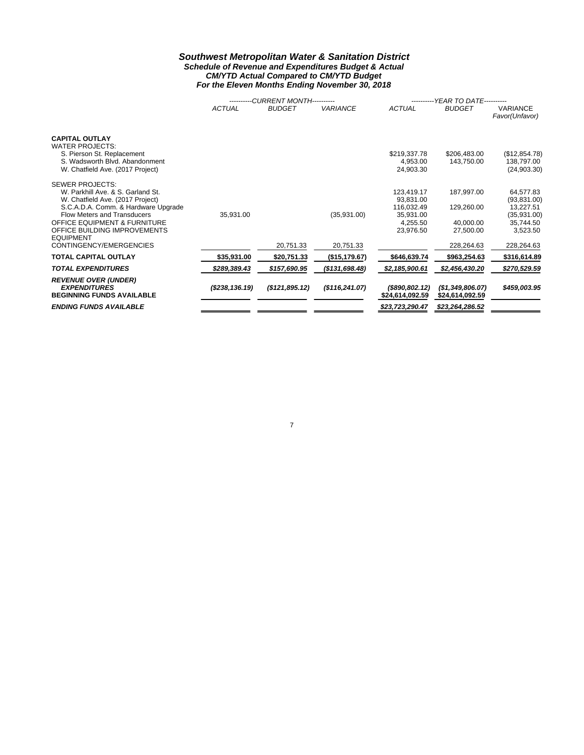#### *Southwest Metropolitan Water & Sanitation District Schedule of Revenue and Expenditures Budget & Actual CM/YTD Actual Compared to CM/YTD Budget For the Eleven Months Ending November 30, 2018*

|                                                                                                                                                     |                  | <b>CURRENT MONTH----------</b> |                  | <b>YEAR TO DATE----------</b>         |                                     |                                             |  |  |
|-----------------------------------------------------------------------------------------------------------------------------------------------------|------------------|--------------------------------|------------------|---------------------------------------|-------------------------------------|---------------------------------------------|--|--|
|                                                                                                                                                     | <b>ACTUAL</b>    | <b>BUDGET</b>                  | <b>VARIANCE</b>  | <b>ACTUAL</b>                         | <b>BUDGET</b>                       | <b>VARIANCE</b><br>Favor(Unfavor)           |  |  |
| <b>CAPITAL OUTLAY</b><br><b>WATER PROJECTS:</b><br>S. Pierson St. Replacement<br>S. Wadsworth Blvd. Abandonment<br>W. Chatfield Ave. (2017 Project) |                  |                                |                  | \$219,337.78<br>4,953.00<br>24,903.30 | \$206,483.00<br>143,750.00          | (\$12,854.78)<br>138,797.00<br>(24, 903.30) |  |  |
| <b>SEWER PROJECTS:</b>                                                                                                                              |                  |                                |                  |                                       |                                     |                                             |  |  |
| W. Parkhill Ave. & S. Garland St.<br>W. Chatfield Ave. (2017 Project)                                                                               |                  |                                |                  | 123,419.17<br>93,831.00               | 187,997.00                          | 64,577.83<br>(93, 831.00)                   |  |  |
| S.C.A.D.A. Comm. & Hardware Upgrade<br><b>Flow Meters and Transducers</b>                                                                           | 35,931.00        |                                | (35,931.00)      | 116,032.49<br>35,931.00               | 129,260.00                          | 13,227.51<br>(35, 931.00)                   |  |  |
| <b>OFFICE EQUIPMENT &amp; FURNITURE</b>                                                                                                             |                  |                                |                  | 4,255.50                              | 40,000.00                           | 35,744.50                                   |  |  |
| OFFICE BUILDING IMPROVEMENTS<br><b>EQUIPMENT</b>                                                                                                    |                  |                                |                  | 23,976.50                             | 27,500.00                           | 3,523.50                                    |  |  |
| CONTINGENCY/EMERGENCIES                                                                                                                             |                  | 20,751.33                      | 20,751.33        |                                       | 228,264.63                          | 228,264.63                                  |  |  |
| <b>TOTAL CAPITAL OUTLAY</b>                                                                                                                         | \$35,931.00      | \$20,751.33                    | (\$15, 179.67)   | \$646,639.74                          | \$963,254.63                        | \$316,614.89                                |  |  |
| <b>TOTAL EXPENDITURES</b>                                                                                                                           | \$289,389.43     | \$157,690.95                   | ( \$131, 698.48) | \$2,185,900.61                        | \$2,456,430.20                      | \$270,529.59                                |  |  |
| <b>REVENUE OVER (UNDER)</b><br><b>EXPENDITURES</b><br><b>BEGINNING FUNDS AVAILABLE</b>                                                              | ( \$238, 136.19) | (\$121,895.12)                 | (\$116, 241.07)  | $($ \$890,802.12)<br>\$24,614,092.59  | (\$1,349,806.07)<br>\$24,614,092.59 | \$459,003.95                                |  |  |
| <b>ENDING FUNDS AVAILABLE</b>                                                                                                                       |                  |                                |                  | \$23,723,290.47                       | \$23,264,286.52                     |                                             |  |  |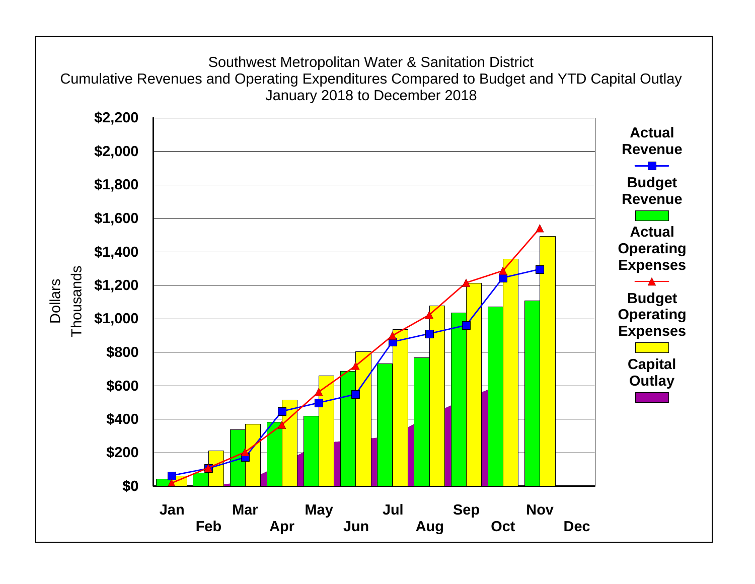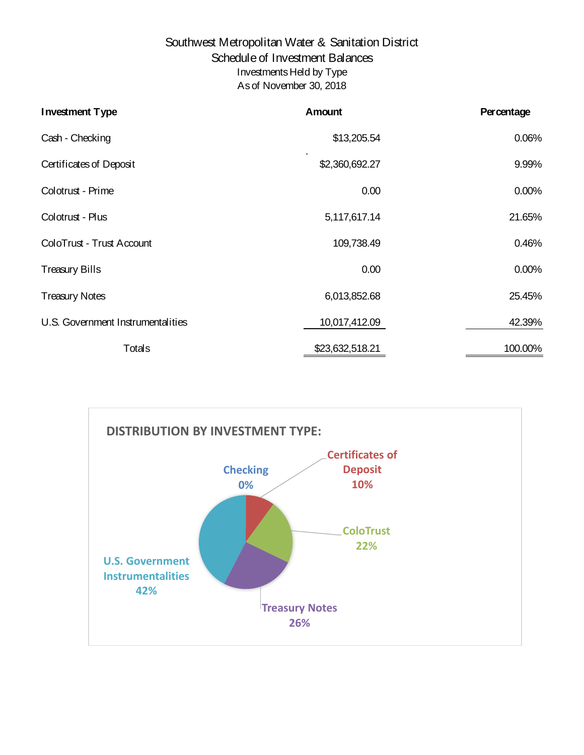## Southwest Metropolitan Water & Sanitation District Schedule of Investment Balances Investments Held by Type As of November 30, 2018

| <b>Investment Type</b>            | Amount          | <b>Percentage</b> |
|-----------------------------------|-----------------|-------------------|
| Cash - Checking                   | \$13,205.54     | 0.06%             |
| <b>Certificates of Deposit</b>    | \$2,360,692.27  | 9.99%             |
| Colotrust - Prime                 | 0.00            | 0.00%             |
| Colotrust - Plus                  | 5,117,617.14    | 21.65%            |
| ColoTrust - Trust Account         | 109,738.49      | 0.46%             |
| <b>Treasury Bills</b>             | 0.00            | 0.00%             |
| <b>Treasury Notes</b>             | 6,013,852.68    | 25.45%            |
| U.S. Government Instrumentalities | 10,017,412.09   | 42.39%            |
| Totals                            | \$23,632,518.21 | 100.00%           |

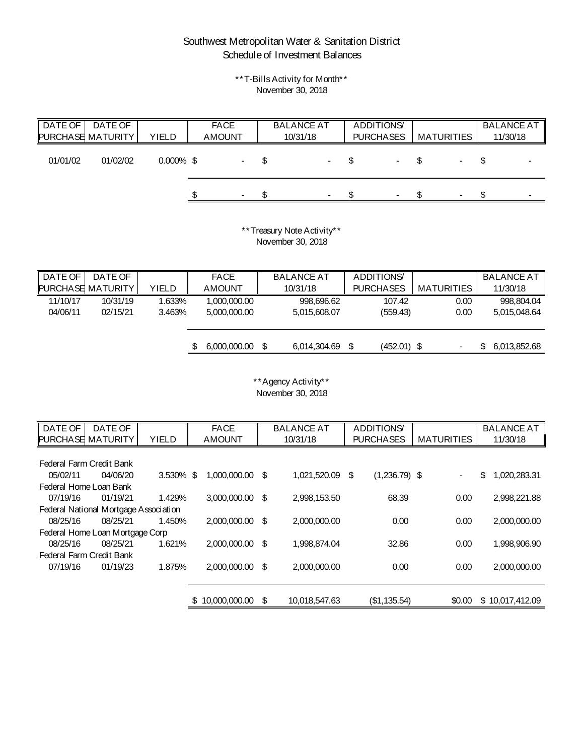# Southwest Metropolitan Water & Sanitation District Schedule of Investment Balances

\*\*T-Bills Activity for Month\*\* November 30, 2018

| ∥ DATE OF | DATE OF<br><b>PURCHASE MATURITY</b> | <b>YIELD</b> | <b>FACE</b><br><b>AMOUNT</b> | <b>BALANCE AT</b><br>10/31/18 |     | <b>ADDITIONS</b><br><b>PURCHASES</b> | <b>MATURITIES</b> | <b>BALANCE AT</b><br>11/30/18 |
|-----------|-------------------------------------|--------------|------------------------------|-------------------------------|-----|--------------------------------------|-------------------|-------------------------------|
| 01/01/02  | 01/02/02                            | $0.000\%$ \$ | $\sim$ $-$                   |                               | -\$ |                                      | $\blacksquare$    |                               |
|           |                                     |              | $\sim$                       | $\overline{\phantom{a}}$      |     | $\blacksquare$                       | $\sim$            | $\overline{\phantom{0}}$      |

\*\*Treasury Note Activity\*\* November 30, 2018

| DATE OF<br>DATE OF<br><b>FACE</b>                         | <b>BALANCE AT</b> | <b>ADDITIONS</b> |                   | <b>BALANCE AT</b> |
|-----------------------------------------------------------|-------------------|------------------|-------------------|-------------------|
| <b>PURCHASE MATURITY</b><br><b>YIELD</b><br><b>AMOUNT</b> | 10/31/18          | <b>PURCHASES</b> | <b>MATURITIES</b> | 11/30/18          |
| 11/10/17<br>10/31/19<br>.633%<br>1,000,000.00             | 998,696.62        | 107.42           | 0.00              | 998,804.04        |
| 04/06/11<br>02/15/21<br>3.463%<br>5,000,000.00            | 5,015,608.07      | (559.43)         | 0.00              | 5,015,048.64      |
|                                                           |                   |                  |                   |                   |
|                                                           |                   |                  |                   |                   |
| 6,000,000.00<br>\$                                        | 6,014,304.69      | \$<br>(452.01)   | - \$              | 6,013,852.68<br>D |

## \*\*Agency Activity\*\* November 30, 2018

| DATE OF  | DATE OF                               |              | <b>FACE</b>         |     | <b>BALANCE AT</b> |    | <b>ADDITIONS</b> |                   | <b>BALANCE AT</b> |                 |
|----------|---------------------------------------|--------------|---------------------|-----|-------------------|----|------------------|-------------------|-------------------|-----------------|
|          | PURCHASE MATURITY                     | <b>YIELD</b> | <b>AMOUNT</b>       |     | 10/31/18          |    | <b>PURCHASES</b> | <b>MATURITIES</b> |                   | 11/30/18        |
|          |                                       |              |                     |     |                   |    |                  |                   |                   |                 |
|          | Federal Farm Credit Bank              |              |                     |     |                   |    |                  |                   |                   |                 |
| 05/02/11 | 04/06/20                              | 3.530%       | \$<br>1,000,000.00  | -\$ | 1,021,520.09      | \$ | $(1,236.79)$ \$  | $\blacksquare$    | \$                | 1,020,283.31    |
|          | Federal Home Loan Bank                |              |                     |     |                   |    |                  |                   |                   |                 |
| 07/19/16 | 01/19/21                              | 1.429%       | 3,000,000.00        | \$  | 2,998,153.50      |    | 68.39            | 0.00              |                   | 2,998,221.88    |
|          | Federal National Mortgage Association |              |                     |     |                   |    |                  |                   |                   |                 |
| 08/25/16 | 08/25/21                              | 1.450%       | 2,000,000.00        | \$  | 2,000,000.00      |    | 0.00             | 0.00              |                   | 2,000,000.00    |
|          | Federal Home Loan Mortgage Corp       |              |                     |     |                   |    |                  |                   |                   |                 |
| 08/25/16 | 08/25/21                              | 1.621%       | 2,000,000.00        | \$  | 1,998,874.04      |    | 32.86            | 0.00              |                   | 1,998,906.90    |
|          | <b>Federal Farm Credit Bank</b>       |              |                     |     |                   |    |                  |                   |                   |                 |
| 07/19/16 | 01/19/23                              | 1.875%       | 2,000,000.00        | \$  | 2,000,000.00      |    | 0.00             | 0.00              |                   | 2,000,000.00    |
|          |                                       |              |                     |     |                   |    |                  |                   |                   |                 |
|          |                                       |              |                     |     |                   |    |                  |                   |                   |                 |
|          |                                       |              | 10,000,000.00<br>\$ | \$  | 10,018,547.63     |    | (\$1,135.54)     | \$0.00            |                   | \$10,017,412.09 |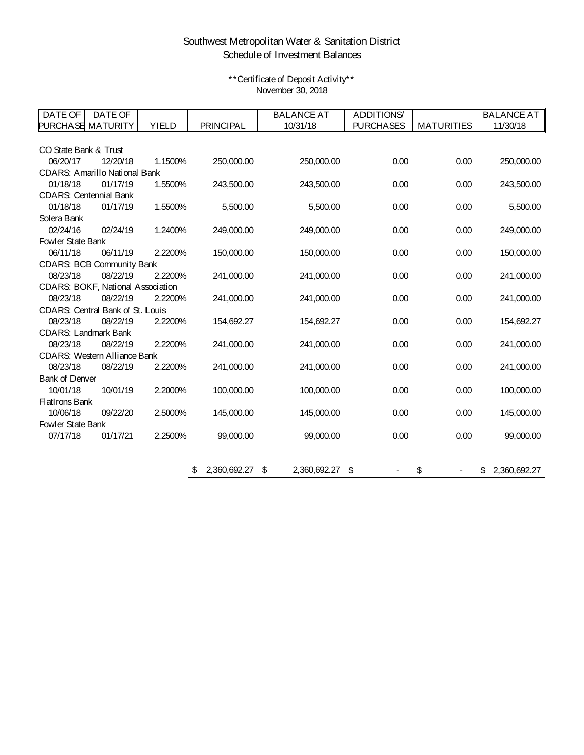# Southwest Metropolitan Water & Sanitation District Schedule of Investment Balances

\*\*Certificate of Deposit Activity\*\* November 30, 2018

| DATE OF                     | DATE OF                                 |              |                                | <b>BALANCE AT</b>     | <b>ADDITIONS</b> |                   | <b>BALANCE AT</b> |
|-----------------------------|-----------------------------------------|--------------|--------------------------------|-----------------------|------------------|-------------------|-------------------|
|                             | <b>PURCHASE MATURITY</b>                | <b>YIELD</b> | <b>PRINCIPAL</b>               | 10/31/18              | <b>PURCHASES</b> | <b>MATURITIES</b> | 11/30/18          |
|                             |                                         |              |                                |                       |                  |                   |                   |
| CO State Bank & Trust       |                                         |              |                                |                       |                  |                   |                   |
| 06/20/17                    | 12/20/18                                | 1.1500%      | 250,000.00                     | 250,000.00            | 0.00             | 0.00              | 250,000.00        |
|                             | <b>CDARS: Amarillo National Bank</b>    |              |                                |                       |                  |                   |                   |
| 01/18/18                    | 01/17/19                                | 1.5500%      | 243,500.00                     | 243,500.00            | 0.00             | 0.00              | 243,500.00        |
|                             | <b>CDARS: Centennial Bank</b>           |              |                                |                       |                  |                   |                   |
| 01/18/18                    | 01/17/19                                | 1.5500%      | 5,500.00                       | 5,500.00              | 0.00             | 0.00              | 5,500.00          |
| Solera Bank                 |                                         |              |                                |                       |                  |                   |                   |
| 02/24/16                    | 02/24/19                                | 1.2400%      | 249,000.00                     | 249,000.00            | 0.00             | 0.00              | 249,000.00        |
| Fowler State Bank           |                                         |              |                                |                       |                  |                   |                   |
| 06/11/18                    | 06/11/19                                | 2.2200%      | 150,000.00                     | 150,000.00            | 0.00             | 0.00              | 150,000.00        |
|                             | <b>CDARS: BCB Community Bank</b>        |              |                                |                       |                  |                   |                   |
| 08/23/18                    | 08/22/19                                | 2.2200%      | 241,000.00                     | 241,000.00            | 0.00             | 0.00              | 241,000.00        |
|                             | CDARS: BOKF, National Association       |              |                                |                       |                  |                   |                   |
| 08/23/18                    | 08/22/19                                | 2.2200%      | 241,000.00                     | 241,000.00            | 0.00             | 0.00              | 241,000.00        |
|                             | <b>CDARS: Central Bank of St. Louis</b> |              |                                |                       |                  |                   |                   |
| 08/23/18                    | 08/22/19                                | 2.2200%      | 154,692.27                     | 154,692.27            | 0.00             | 0.00              | 154,692.27        |
| <b>CDARS: Landmark Bank</b> |                                         |              |                                |                       |                  |                   |                   |
| 08/23/18                    | 08/22/19                                | 2.2200%      | 241,000.00                     | 241,000.00            | 0.00             | 0.00              | 241,000.00        |
|                             | <b>CDARS: Western Alliance Bank</b>     |              |                                |                       |                  |                   |                   |
| 08/23/18                    | 08/22/19                                | 2.2200%      | 241,000.00                     | 241,000.00            | 0.00             | 0.00              | 241,000.00        |
| <b>Bank of Denver</b>       |                                         |              |                                |                       |                  |                   |                   |
| 10/01/18                    | 10/01/19                                | 2.2000%      | 100,000.00                     | 100,000.00            | 0.00             | 0.00              | 100,000.00        |
| <b>FlatIrons Bank</b>       |                                         |              |                                |                       |                  |                   |                   |
| 10/06/18                    | 09/22/20                                | 2.5000%      | 145,000.00                     | 145,000.00            | 0.00             | 0.00              | 145,000.00        |
| Fowler State Bank           |                                         |              |                                |                       |                  |                   |                   |
| 07/17/18                    | 01/17/21                                | 2.2500%      | 99,000.00                      | 99,000.00             | 0.00             | 0.00              | 99,000.00         |
|                             |                                         |              |                                |                       |                  |                   |                   |
|                             |                                         |              |                                |                       |                  |                   |                   |
|                             |                                         |              | $\mathfrak{S}$<br>2,360,692.27 | \$<br>2,360,692.27 \$ |                  | \$                | \$2,360,692.27    |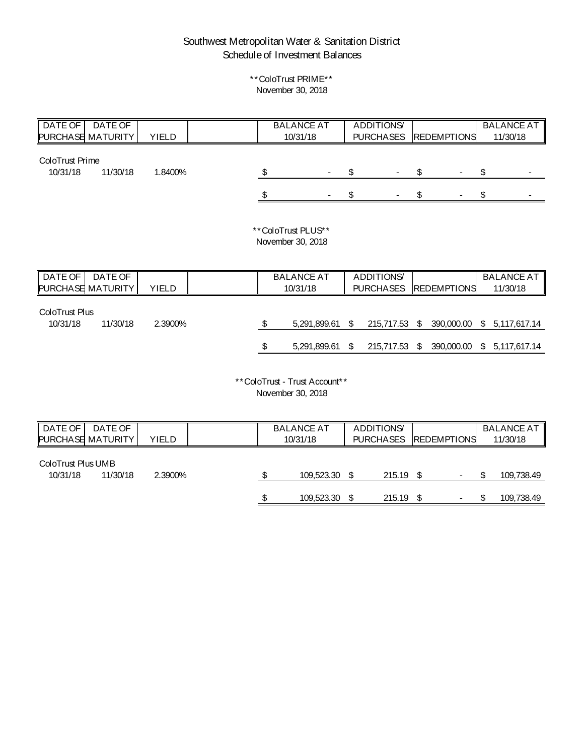# Southwest Metropolitan Water & Sanitation District Schedule of Investment Balances

## \*\*ColoTrust PRIME\*\* November 30, 2018

| DATE OF<br><b>PURCHASE MATURITY</b> | DATE OF        | <b>YIELD</b> |    | <b>BALANCE AT</b><br>10/31/18           |                           | <b>ADDITIONS</b><br><b>PURCHASES</b> | <b>REDEMPTIONS</b> |                | <b>BALANCE AT</b><br>11/30/18 |
|-------------------------------------|----------------|--------------|----|-----------------------------------------|---------------------------|--------------------------------------|--------------------|----------------|-------------------------------|
|                                     |                |              |    |                                         |                           |                                      |                    |                |                               |
| ColoTrust Prime                     |                |              |    |                                         |                           |                                      |                    |                |                               |
| 10/31/18                            | 11/30/18       | 1.8400%      | \$ |                                         | \$                        |                                      | \$                 | \$             |                               |
|                                     |                |              |    |                                         | \$                        |                                      | \$                 | \$             |                               |
|                                     |                |              |    | **ColoTrust PLUS**<br>November 30, 2018 |                           |                                      |                    |                |                               |
| <b>DATE OF</b>                      | <b>DATE OF</b> |              |    | <b>BALANCE AT</b>                       |                           | <b>ADDITIONS</b>                     |                    |                | <b>BALANCE AT</b>             |
| PURCHASE MATURITY                   |                | <b>YIELD</b> |    | 10/31/18                                |                           | <b>PURCHASES</b>                     | <b>REDEMPTIONS</b> |                | 11/30/18                      |
| <b>ColoTrust Plus</b>               |                |              |    |                                         |                           |                                      |                    |                |                               |
| 10/31/18                            | 11/30/18       | 2.3900%      | \$ | 5,291,899.61                            | \$                        | 215,717.53                           | \$<br>390,000.00   | $\mathfrak{S}$ | 5,117,617.14                  |
|                                     |                |              |    | 5,291,899.61                            | $\boldsymbol{\mathsf{S}}$ | 215,717.53                           | \$                 |                | 390,000.00 \$ 5,117,617.14    |
|                                     |                |              |    |                                         |                           |                                      |                    |                |                               |

\*\*ColoTrust - Trust Account\*\* November 30, 2018

| DATE OF                        | DATE OF<br><b>PURCHASE MATURITY</b> | <b>YIELD</b> |  | <b>BALANCE AT</b><br>10/31/18 | <b>ADDITIONS</b><br><b>PURCHASES</b> | <b>REDEMPTIONS</b> | <b>BALANCE AT</b><br>11/30/18 |
|--------------------------------|-------------------------------------|--------------|--|-------------------------------|--------------------------------------|--------------------|-------------------------------|
| ColoTrust Plus UMB<br>10/31/18 | 11/30/18                            | 2.3900%      |  | 109,523.30                    | 215.19                               | $\blacksquare$     | 109,738.49                    |
|                                |                                     |              |  | 109,523.30                    | 215.19                               | $\blacksquare$     | 109,738.49                    |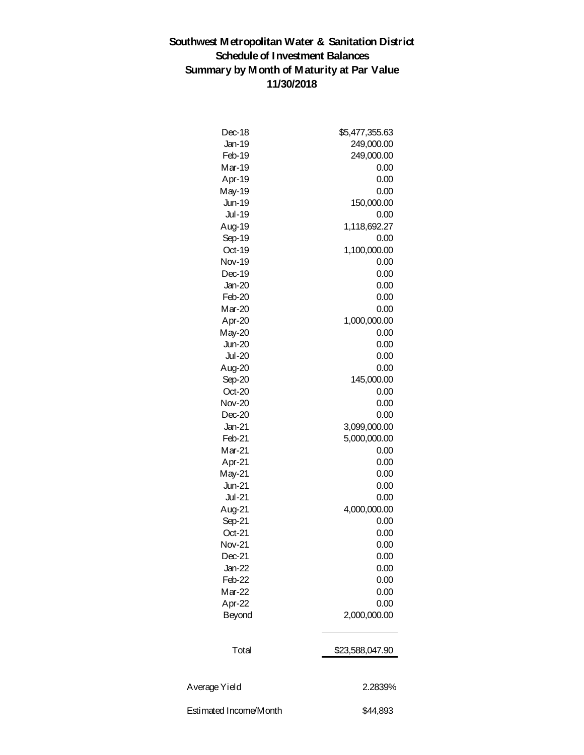# **Southwest Metropolitan Water & Sanitation District Schedule of Investment Balances Summary by Month of Maturity at Par Value 11/30/2018**

| Dec-18                 | \$5,477,355.63  |
|------------------------|-----------------|
| <b>Jan-19</b>          | 249,000.00      |
| Feb-19                 | 249,000.00      |
| Mar-19                 | 0.00            |
| Apr-19                 | 0.00            |
| May-19                 | 0.00            |
| <b>Jun-19</b>          | 150,000.00      |
| <b>Jul-19</b>          | 0.00            |
| Aug-19                 | 1,118,692.27    |
| Sep-19                 | 0.00            |
| Oct-19                 | 1,100,000.00    |
| <b>Nov-19</b>          | 0.00            |
| Dec-19                 | 0.00            |
| $Jan-20$               | 0.00            |
| Feb-20                 | 0.00            |
| Mar-20                 | 0.00            |
|                        | 1,000,000.00    |
| Apr-20<br>$May-20$     | 0.00            |
| <b>Jun-20</b>          | 0.00            |
| <b>Jul-20</b>          | 0.00            |
|                        |                 |
| Aug-20                 | 0.00            |
| Sep-20                 | 145,000.00      |
| $Oct-20$               | 0.00            |
| <b>Nov-20</b>          | 0.00            |
| $Dec-20$               | 0.00            |
| $Jan-21$               | 3,099,000.00    |
| Feb-21                 | 5,000,000.00    |
| Mar-21                 | 0.00            |
| Apr-21                 | 0.00            |
| $May-21$               | 0.00            |
| <b>Jun-21</b>          | 0.00            |
| <b>Jul-21</b>          | 0.00            |
| Aug-21                 | 4,000,000.00    |
| Sep-21                 | 0.00            |
| Oct-21                 | 0.00            |
| <b>Nov-21</b>          | 0.00            |
| $Dec-21$               | 0.00            |
| $Jan-22$               | 0.00            |
| Feb-22                 | 0.00            |
| Mar-22                 | 0.00            |
| Apr-22                 | 0.00            |
| <b>Beyond</b>          | 2,000,000.00    |
| Total                  | \$23,588,047.90 |
|                        |                 |
| Average Yield          | 2.2839%         |
| Estimated Income/Month | \$44,893        |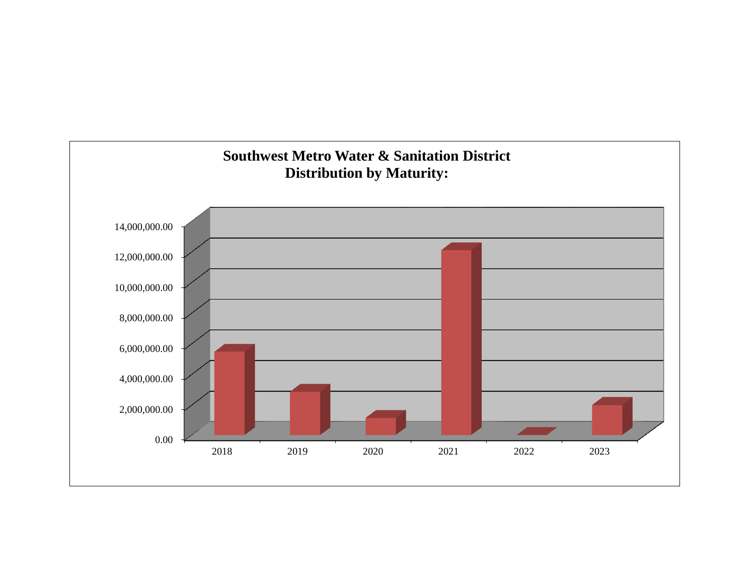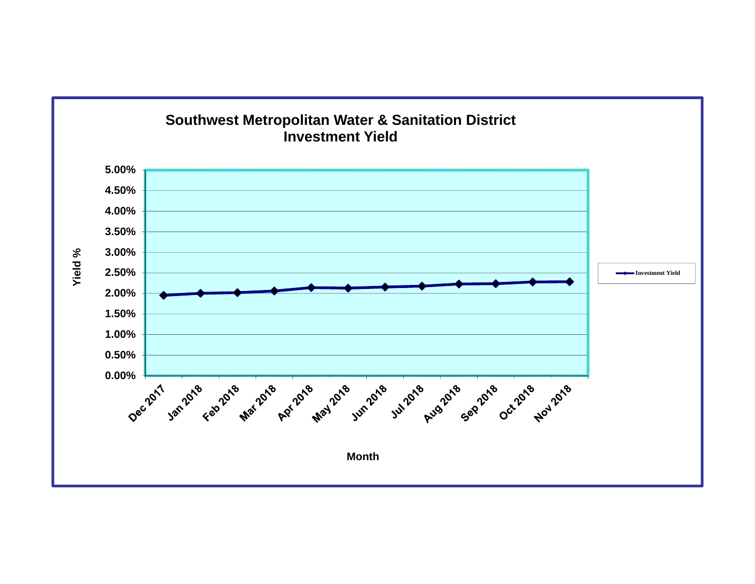